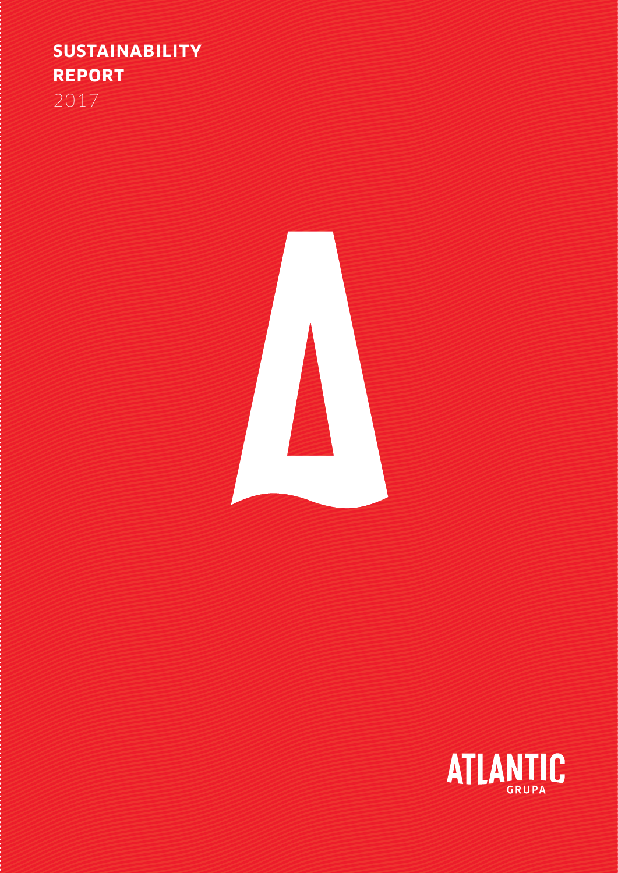## **SUSTAINABILITY REPORT**  2017



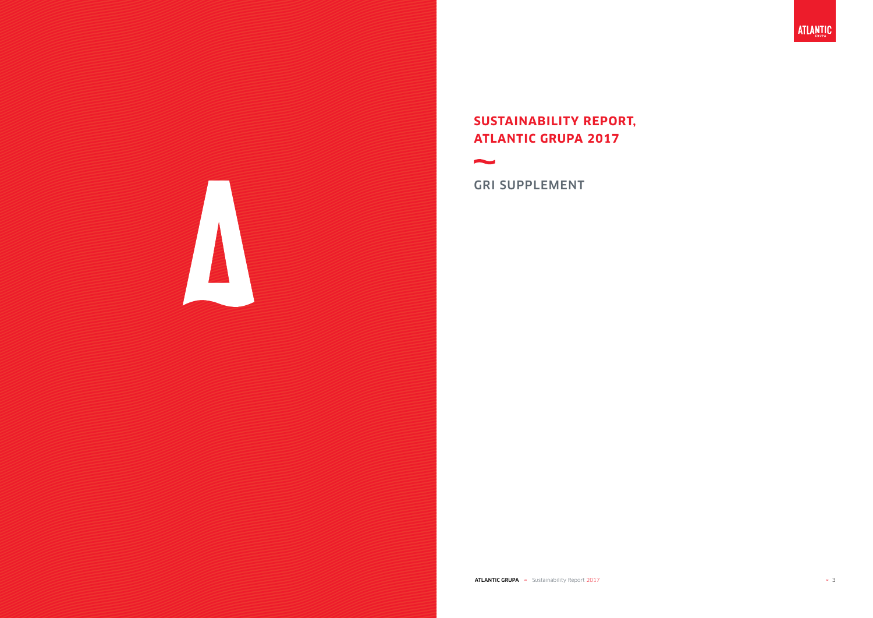

## **SUSTAINABILITY REPORT, ATLANTIC GRUPA 2017**



**Property** 

**ATLANTIC GRUPA**  $\sim$  Sustainability Report 2017  $\sim$  3

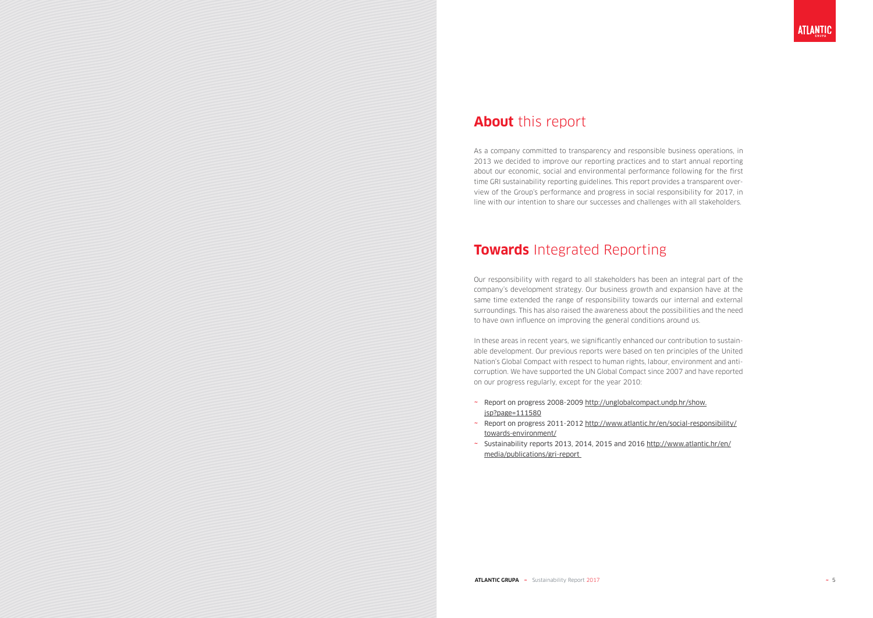## **About** this report

As a company committed to transparency and responsible business operations, in 2013 we decided to improve our reporting practices and to start annual reporting about our economic, social and environmental performance following for the first time GRI sustainability reporting guidelines. This report provides a transparent overview of the Group's performance and progress in social responsibility for 2017, in line with our intention to share our successes and challenges with all stakeholders.

## **Towards** Integrated Reporting

Our responsibility with regard to all stakeholders has been an integral part of the company's development strategy. Our business growth and expansion have at the same time extended the range of responsibility towards our internal and external surroundings. This has also raised the awareness about the possibilities and the need to have own influence on improving the general conditions around us.

In these areas in recent years, we significantly enhanced our contribution to sustainable development. Our previous reports were based on ten principles of the United Nation's Global Compact with respect to human rights, labour, environment and anticorruption. We have supported the UN Global Compact since 2007 and have reported on our progress regularly, except for the year 2010:

- ~ Report on progress 2008-2009 http://unglobalcompact.undp.hr/show. jsp?page=111580
- ~ Report on progress 2011-2012 http://www.atlantic.hr/en/social-responsibility/ towards-environment/
- ~ Sustainability reports 2013, 2014, 2015 and 2016 http://www.atlantic.hr/en/ media/publications/gri-report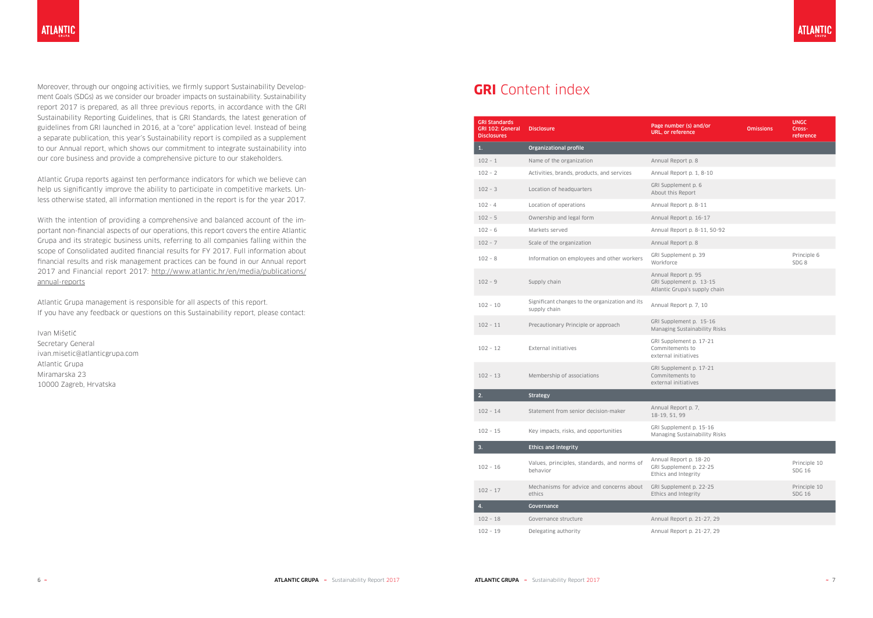Moreover, through our ongoing activities, we firmly support Sustainability Development Goals (SDGs) as we consider our broader impacts on sustainability. Sustainability report 2017 is prepared, as all three previous reports, in accordance with the GRI Sustainability Reporting Guidelines, that is GRI Standards, the latest generation of guidelines from GRI launched in 2016, at a "core" application level. Instead of being a separate publication, this year's Sustainability report is compiled as a supplement to our Annual report, which shows our commitment to integrate sustainability into our core business and provide a comprehensive picture to our stakeholders.

Atlantic Grupa reports against ten performance indicators for which we believe can help us significantly improve the ability to participate in competitive markets. Unless otherwise stated, all information mentioned in the report is for the year 2017.

With the intention of providing a comprehensive and balanced account of the important non-financial aspects of our operations, this report covers the entire Atlantic Grupa and its strategic business units, referring to all companies falling within the scope of Consolidated audited financial results for FY 2017. Full information about financial results and risk management practices can be found in our Annual report 2017 and Financial report 2017: http://www.atlantic.hr/en/media/publications/ annual-reports

Atlantic Grupa management is responsible for all aspects of this report. If you have any feedback or questions on this Sustainability report, please contact:

Ivan Mišetic Secretary General ivan.misetic@atlanticgrupa.com Atlantic Grupa Miramarska 23 10000 Zagreb, Hrvatska

## **GRI** Content index

| <b>GRI Standards</b><br>GRI 102: General<br><b>Disclosures</b> | <b>Disclosure</b>                                               | Page number (s) and/or<br><b>Omissions</b><br>URL, or reference                 |  | <b>UNGC</b><br>Cross-<br>reference |
|----------------------------------------------------------------|-----------------------------------------------------------------|---------------------------------------------------------------------------------|--|------------------------------------|
| 1.                                                             | <b>Organizational profile</b>                                   |                                                                                 |  |                                    |
| $102 - 1$                                                      | Name of the organization                                        | Annual Report p. 8                                                              |  |                                    |
| $102 - 2$                                                      | Activities, brands, products, and services                      | Annual Report p. 1, 8-10                                                        |  |                                    |
| $102 - 3$                                                      | Location of headquarters                                        | GRI Supplement p. 6<br>About this Report                                        |  |                                    |
| $102 - 4$                                                      | Location of operations                                          | Annual Report p. 8-11                                                           |  |                                    |
| $102 - 5$                                                      | Ownership and legal form                                        | Annual Report p. 16-17                                                          |  |                                    |
| $102 - 6$                                                      | Markets served                                                  | Annual Report p. 8-11, 50-92                                                    |  |                                    |
| $102 - 7$                                                      | Scale of the organization                                       | Annual Report p. 8                                                              |  |                                    |
| $102 - 8$                                                      | Information on employees and other workers                      | GRI Supplement p. 39<br>Workforce                                               |  | Principle 6<br>SDG <sub>8</sub>    |
| $102 - 9$                                                      | Supply chain                                                    | Annual Report p. 95<br>GRI Supplement p. 13-15<br>Atlantic Grupa's supply chain |  |                                    |
| $102 - 10$                                                     | Significant changes to the organization and its<br>supply chain | Annual Report p. 7, 10                                                          |  |                                    |
| $102 - 11$                                                     | Precautionary Principle or approach                             | GRI Supplement p. 15-16<br>Managing Sustainability Risks                        |  |                                    |
| $102 - 12$                                                     | External initiatives                                            | GRI Supplement p. 17-21<br>Commitements to<br>external initiatives              |  |                                    |
| $102 - 13$                                                     | Membership of associations                                      | GRI Supplement p. 17-21<br>Commitements to<br>external initiatives              |  |                                    |
| 2.                                                             | <b>Strategy</b>                                                 |                                                                                 |  |                                    |
| $102 - 14$                                                     | Statement from senior decision-maker                            | Annual Report p. 7,<br>18-19, 51, 99                                            |  |                                    |
| $102 - 15$                                                     | Key impacts, risks, and opportunities                           | GRI Supplement p. 15-16<br><b>Managing Sustainability Risks</b>                 |  |                                    |
| 3.                                                             | <b>Ethics and integrity</b>                                     |                                                                                 |  |                                    |
| $102 - 16$                                                     | Values, principles, standards, and norms of<br>behavior         | Annual Report p. 18-20<br>GRI Supplement p. 22-25<br>Ethics and Integrity       |  | Principle 10<br><b>SDG 16</b>      |
| $102 - 17$                                                     | Mechanisms for advice and concerns about<br>ethics              | GRI Supplement p. 22-25<br>Ethics and Integrity                                 |  | Principle 10<br><b>SDG 16</b>      |
| 4.                                                             | Governance                                                      |                                                                                 |  |                                    |
| $102 - 18$                                                     | Governance structure                                            | Annual Report p. 21-27, 29                                                      |  |                                    |
| $102 - 19$                                                     | Delegating authority                                            | Annual Report p. 21-27, 29                                                      |  |                                    |

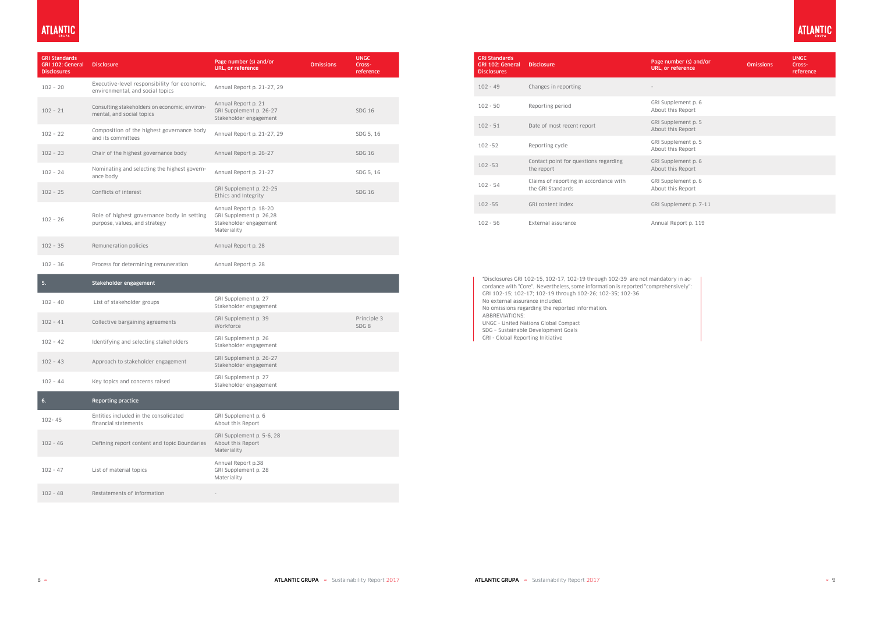## **ATLANTIC**

| <b>GRI Standards</b><br><b>GRI 102: General</b><br><b>Disclosures</b> | <b>Disclosure</b>                                                                | Page number (s) and/or<br><b>Omissions</b><br>URL, or reference                            |  | <b>UNGC</b><br>Cross-<br>reference |
|-----------------------------------------------------------------------|----------------------------------------------------------------------------------|--------------------------------------------------------------------------------------------|--|------------------------------------|
| $102 - 20$                                                            | Executive-level responsibility for economic,<br>environmental, and social topics | Annual Report p. 21-27, 29                                                                 |  |                                    |
| $102 - 21$                                                            | Consulting stakeholders on economic, environ-<br>mental, and social topics       | Annual Report p. 21<br>GRI Supplement p. 26-27<br>Stakeholder engagement                   |  | <b>SDG 16</b>                      |
| $102 - 22$                                                            | Composition of the highest governance body<br>and its committees                 | Annual Report p. 21-27, 29                                                                 |  | SDG 5, 16                          |
| $102 - 23$                                                            | Chair of the highest governance body                                             | Annual Report p. 26-27                                                                     |  | <b>SDG 16</b>                      |
| $102 - 24$                                                            | Nominating and selecting the highest govern-<br>ance body                        | Annual Report p. 21-27                                                                     |  | SDG 5, 16                          |
| $102 - 25$                                                            | Conflicts of interest                                                            | GRI Supplement p. 22-25<br>Ethics and Integrity                                            |  | <b>SDG 16</b>                      |
| $102 - 26$                                                            | Role of highest governance body in setting<br>purpose, values, and strategy      | Annual Report p. 18-20<br>GRI Supplement p. 26,28<br>Stakeholder engagement<br>Materiality |  |                                    |
| $102 - 35$                                                            | Remuneration policies                                                            | Annual Report p. 28                                                                        |  |                                    |
| $102 - 36$                                                            | Process for determining remuneration                                             | Annual Report p. 28                                                                        |  |                                    |
| 5.                                                                    | Stakeholder engagement                                                           |                                                                                            |  |                                    |
| $102 - 40$                                                            | List of stakeholder groups                                                       | GRI Supplement p. 27<br>Stakeholder engagement                                             |  |                                    |
| $102 - 41$                                                            | Collective bargaining agreements                                                 | GRI Supplement p. 39<br>Workforce                                                          |  | Principle 3<br>SDG <sub>8</sub>    |
| $102 - 42$                                                            | Identifying and selecting stakeholders                                           | GRI Supplement p. 26<br>Stakeholder engagement                                             |  |                                    |
| $102 - 43$                                                            | Approach to stakeholder engagement                                               | GRI Supplement p. 26-27<br>Stakeholder engagement                                          |  |                                    |
| $102 - 44$                                                            | Key topics and concerns raised                                                   | GRI Supplement p. 27<br>Stakeholder engagement                                             |  |                                    |
| 6.                                                                    | <b>Reporting practice</b>                                                        |                                                                                            |  |                                    |
| 102-45                                                                | Entities included in the consolidated<br>financial statements                    | GRI Supplement p. 6<br>About this Report                                                   |  |                                    |
| $102 - 46$                                                            | Defining report content and topic Boundaries                                     | GRI Supplement p. 5-6, 28<br>About this Report<br>Materiality                              |  |                                    |
| $102 - 47$                                                            | List of material topics                                                          | Annual Report p.38<br>GRI Supplement p. 28<br>Materiality                                  |  |                                    |
| $102 - 48$                                                            | Restatements of information                                                      |                                                                                            |  |                                    |

| <b>GRI Standards</b><br><b>GRI 102: General</b><br><b>Disclosures</b> | <b>Disclosure</b>                                           | Page number (s) and/or<br>URL, or reference | <b>Omissions</b> | <b>UNGC</b><br>Cross-<br>reference |
|-----------------------------------------------------------------------|-------------------------------------------------------------|---------------------------------------------|------------------|------------------------------------|
| $102 - 49$                                                            | Changes in reporting                                        |                                             |                  |                                    |
| $102 - 50$                                                            | Reporting period                                            | GRI Supplement p. 6<br>About this Report    |                  |                                    |
| $102 - 51$                                                            | Date of most recent report                                  | GRI Supplement p. 5<br>About this Report    |                  |                                    |
| $102 - 52$                                                            | Reporting cycle                                             | GRI Supplement p. 5<br>About this Report    |                  |                                    |
| $102 - 53$                                                            | Contact point for questions regarding<br>the report         | GRI Supplement p. 6<br>About this Report    |                  |                                    |
| $102 - 54$                                                            | Claims of reporting in accordance with<br>the GRI Standards | GRI Supplement p. 6<br>About this Report    |                  |                                    |
| $102 - 55$                                                            | GRI content index                                           | GRI Supplement p. 7-11                      |                  |                                    |
| $102 - 56$                                                            | External assurance                                          | Annual Report p. 119                        |                  |                                    |

\*Disclosures GRI 102-15, 102-17, 102-19 through 102-39 are not mandatory in accordance with ''Core''. Nevertheless, some information is reported ''comprehensively'': GRI 102-15; 102-17; 102-19 through 102-26; 102-35; 102-36 No external assurance included. No omissions regarding the reported information. ABBREVIATIONS: UNGC - United Nations Global Compact SDG – Sustainable Development Goals

GRI - Global Reporting Initiative

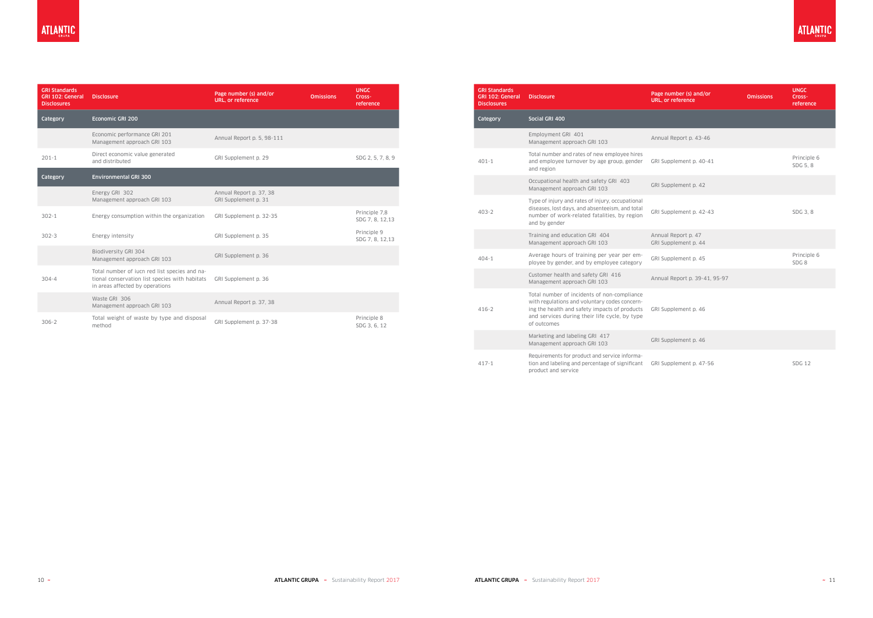| <b>GRI Standards</b><br><b>GRI 102: General</b><br><b>Disclosures</b> | <b>Disclosure</b>                                                                                                                  | Page number (s) and/or<br><b>URL, or reference</b> | <b>Omissions</b> | <b>UNGC</b><br>Cross-<br>reference |
|-----------------------------------------------------------------------|------------------------------------------------------------------------------------------------------------------------------------|----------------------------------------------------|------------------|------------------------------------|
| Category                                                              | Economic GRI 200                                                                                                                   |                                                    |                  |                                    |
|                                                                       | Economic performance GRI 201<br>Management approach GRI 103                                                                        | Annual Report p. 5, 98-111                         |                  |                                    |
| $201 - 1$                                                             | Direct economic value generated<br>and distributed                                                                                 | GRI Supplement p. 29                               |                  | SDG 2, 5, 7, 8, 9                  |
| Category                                                              | <b>Environmental GRI 300</b>                                                                                                       |                                                    |                  |                                    |
|                                                                       | Energy GRI 302<br>Management approach GRI 103                                                                                      | Annual Report p. 37, 38<br>GRI Supplement p. 31    |                  |                                    |
| $302 - 1$                                                             | Energy consumption within the organization                                                                                         | GRI Supplement p. 32-35                            |                  | Principle 7,8<br>SDG 7, 8, 12,13   |
| $302 - 3$                                                             | Energy intensity                                                                                                                   | GRI Supplement p. 35                               |                  | Principle 9<br>SDG 7, 8, 12,13     |
|                                                                       | Biodiversity GRI 304<br>Management approach GRI 103                                                                                | GRI Supplement p. 36                               |                  |                                    |
| $304 - 4$                                                             | Total number of jucn red list species and na-<br>tional conservation list species with habitats<br>in areas affected by operations | GRI Supplement p. 36                               |                  |                                    |
|                                                                       | Waste GRI 306<br>Management approach GRI 103                                                                                       | Annual Report p. 37, 38                            |                  |                                    |
| $306 - 2$                                                             | Total weight of waste by type and disposal<br>method                                                                               | GRI Supplement p. 37-38                            |                  | Principle 8<br>SDG 3, 6, 12        |

| <b>GRI Standards</b><br><b>GRI 102: General</b><br><b>Disclosures</b> | <b>Disclosure</b>                                                                                                                                                                                             | Page number (s) and/or<br><b>URL, or reference</b> | <b>Omissions</b> | <b>UNGC</b><br>Cross-<br>reference |
|-----------------------------------------------------------------------|---------------------------------------------------------------------------------------------------------------------------------------------------------------------------------------------------------------|----------------------------------------------------|------------------|------------------------------------|
| Category                                                              | Social GRI 400                                                                                                                                                                                                |                                                    |                  |                                    |
|                                                                       | Employment GRI 401<br>Management approach GRI 103                                                                                                                                                             | Annual Report p. 43-46                             |                  |                                    |
| $401 - 1$                                                             | Total number and rates of new employee hires<br>and employee turnover by age group, gender<br>and region                                                                                                      | GRI Supplement p. 40-41                            |                  | Principle 6<br>SDG 5, 8            |
|                                                                       | Occupational health and safety GRI 403<br>Management approach GRI 103                                                                                                                                         | GRI Supplement p. 42                               |                  |                                    |
| $403 - 2$                                                             | Type of injury and rates of injury, occupational<br>diseases, lost days, and absenteeism, and total<br>number of work-related fatalities, by region<br>and by gender                                          | GRI Supplement p. 42-43                            |                  | SDG 3, 8                           |
|                                                                       | Training and education GRI 404<br>Management approach GRI 103                                                                                                                                                 | Annual Report p. 47<br>GRI Supplement p. 44        |                  |                                    |
| $404 - 1$                                                             | Average hours of training per year per em-<br>ployee by gender, and by employee category                                                                                                                      | GRI Supplement p. 45                               |                  | Principle 6<br>SDG <sub>8</sub>    |
|                                                                       | Customer health and safety GRI 416<br>Management approach GRI 103                                                                                                                                             | Annual Report p. 39-41, 95-97                      |                  |                                    |
| $416 - 2$                                                             | Total number of incidents of non-compliance<br>with regulations and voluntary codes concern-<br>ing the health and safety impacts of products<br>and services during their life cycle, by type<br>of outcomes | GRI Supplement p. 46                               |                  |                                    |
|                                                                       | Marketing and labeling GRI 417<br>Management approach GRI 103                                                                                                                                                 | GRI Supplement p. 46                               |                  |                                    |
| $417 - 1$                                                             | Requirements for product and service informa-<br>tion and labeling and percentage of significant<br>product and service                                                                                       | GRI Supplement p. 47-56                            |                  | <b>SDG 12</b>                      |

**ATLANTIC**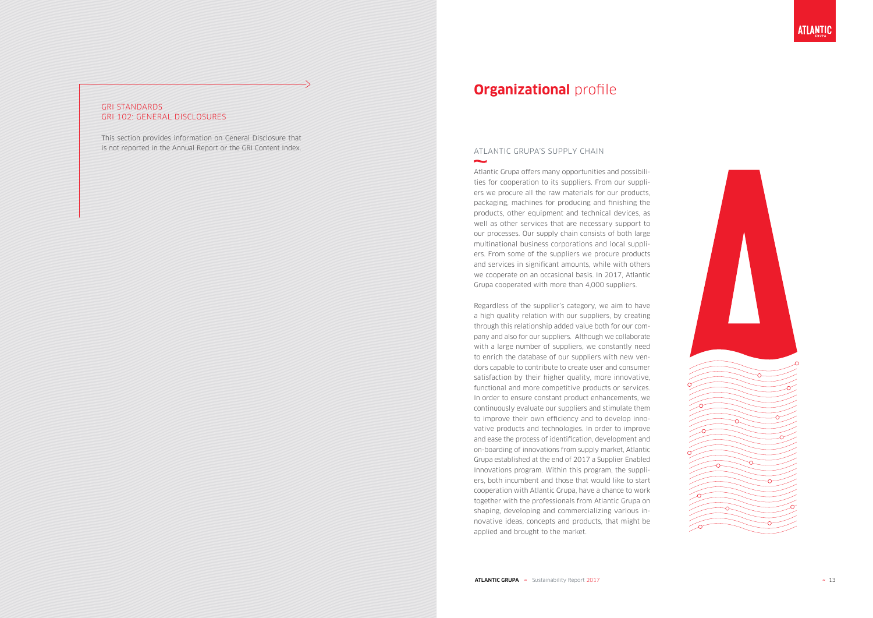### GRI STANDARDS GRI 102: GENERAL DISCLOSURES

This section provides information on General Disclosure that is not reported in the Annual Report or the GRI Content Index.

## **Organizational** profile

### ATLANTIC GRUPA'S SUPPLY CHAIN

Atlantic Grupa offers many opportunities and possibili ties for cooperation to its suppliers. From our suppli ers we procure all the raw materials for our products, packaging, machines for producing and finishing the products, other equipment and technical devices, as well as other services that are necessary support to our processes. Our supply chain consists of both large multinational business corporations and local suppli ers. From some of the suppliers we procure products and services in significant amounts, while with others we cooperate on an occasional basis. In 2017, Atlantic Grupa cooperated with more than 4,000 suppliers.

Regardless of the supplier's category, we aim to have a high quality relation with our suppliers, by creating through this relationship added value both for our com pany and also for our suppliers. Although we collaborate with a large number of suppliers, we constantly need to enrich the database of our suppliers with new ven dors capable to contribute to create user and consumer satisfaction by their higher quality, more innovative, functional and more competitive products or services. In order to ensure constant product enhancements, we continuously evaluate our suppliers and stimulate them to improve their own efficiency and to develop inno vative products and technologies. In order to improve and ease the process of identification, development and on-boarding of innovations from supply market, Atlantic Grupa established at the end of 2017 a Supplier Enabled Innovations program. Within this program, the suppli ers, both incumbent and those that would like to start cooperation with Atlantic Grupa, have a chance to work together with the professionals from Atlantic Grupa on shaping, developing and commercializing various in novative ideas, concepts and products, that might be applied and brought to the market.



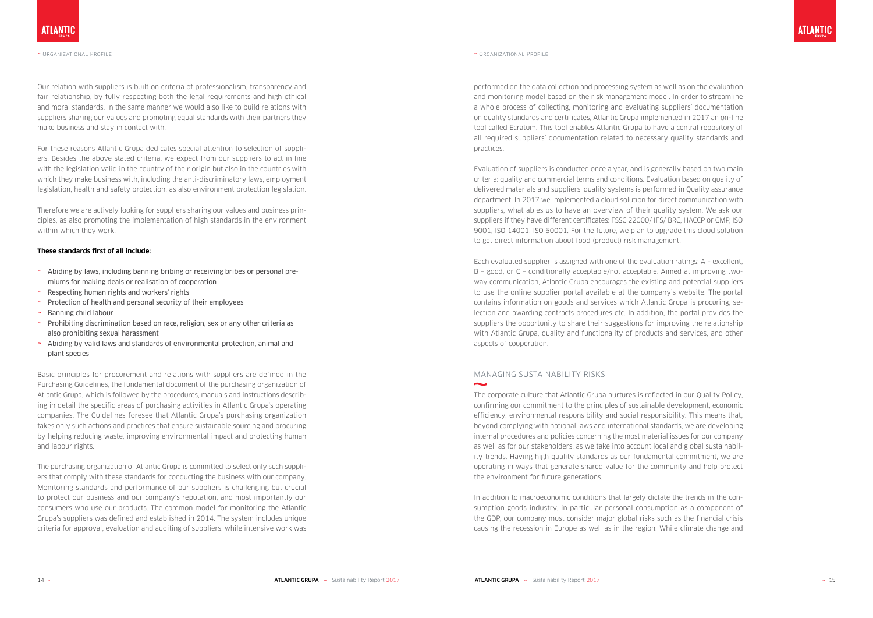Our relation with suppliers is built on criteria of professionalism, transparency and fair relationship, by fully respecting both the legal requirements and high ethical and moral standards. In the same manner we would also like to build relations with suppliers sharing our values and promoting equal standards with their partners they make business and stay in contact with.

For these reasons Atlantic Grupa dedicates special attention to selection of suppliers. Besides the above stated criteria, we expect from our suppliers to act in line with the legislation valid in the country of their origin but also in the countries with which they make business with, including the anti-discriminatory laws, employment legislation, health and safety protection, as also environment protection legislation.

Therefore we are actively looking for suppliers sharing our values and business principles, as also promoting the implementation of high standards in the environment within which they work.

#### **These standards first of all include:**

- ~ Abiding by laws, including banning bribing or receiving bribes or personal premiums for making deals or realisation of cooperation
- $\sim$  Respecting human rights and workers' rights
- ~ Protection of health and personal security of their employees
- ~ Banning child labour
- ~ Prohibiting discrimination based on race, religion, sex or any other criteria as also prohibiting sexual harassment
- ~ Abiding by valid laws and standards of environmental protection, animal and plant species

Basic principles for procurement and relations with suppliers are defined in the Purchasing Guidelines, the fundamental document of the purchasing organization of Atlantic Grupa, which is followed by the procedures, manuals and instructions describing in detail the specific areas of purchasing activities in Atlantic Grupa's operating companies. The Guidelines foresee that Atlantic Grupa's purchasing organization takes only such actions and practices that ensure sustainable sourcing and procuring by helping reducing waste, improving environmental impact and protecting human and labour rights.

The purchasing organization of Atlantic Grupa is committed to select only such suppliers that comply with these standards for conducting the business with our company. Monitoring standards and performance of our suppliers is challenging but crucial to protect our business and our company's reputation, and most importantly our consumers who use our products. The common model for monitoring the Atlantic Grupa's suppliers was defined and established in 2014. The system includes unique criteria for approval, evaluation and auditing of suppliers, while intensive work was

#### ~ Organizational Profile

performed on the data collection and processing system as well as on the evaluation and monitoring model based on the risk management model. In order to streamline a whole process of collecting, monitoring and evaluating suppliers' documentation on quality standards and certificates, Atlantic Grupa implemented in 2017 an on-line tool called Ecratum. This tool enables Atlantic Grupa to have a central repository of all required suppliers' documentation related to necessary quality standards and practices.

Evaluation of suppliers is conducted once a year, and is generally based on two main criteria: quality and commercial terms and conditions. Evaluation based on quality of delivered materials and suppliers' quality systems is performed in Quality assurance department. In 2017 we implemented a cloud solution for direct communication with suppliers, what ables us to have an overview of their quality system. We ask our suppliers if they have different certificates: FSSC 22000/ IFS/ BRC, HACCP or GMP, ISO 9001, ISO 14001, ISO 50001. For the future, we plan to upgrade this cloud solution to get direct information about food (product) risk management.

Each evaluated supplier is assigned with one of the evaluation ratings: A – excellent, B – good, or C – conditionally acceptable/not acceptable. Aimed at improving twoway communication, Atlantic Grupa encourages the existing and potential suppliers to use the online supplier portal available at the company's website. The portal contains information on goods and services which Atlantic Grupa is procuring, selection and awarding contracts procedures etc. In addition, the portal provides the suppliers the opportunity to share their suggestions for improving the relationship with Atlantic Grupa, quality and functionality of products and services, and other aspects of cooperation.

### MANAGING SUSTAINABILITY RISKS

The corporate culture that Atlantic Grupa nurtures is reflected in our Quality Policy, confirming our commitment to the principles of sustainable development, economic efficiency, environmental responsibility and social responsibility. This means that, beyond complying with national laws and international standards, we are developing internal procedures and policies concerning the most material issues for our company as well as for our stakeholders, as we take into account local and global sustainability trends. Having high quality standards as our fundamental commitment, we are operating in ways that generate shared value for the community and help protect the environment for future generations.

In addition to macroeconomic conditions that largely dictate the trends in the consumption goods industry, in particular personal consumption as a component of the GDP, our company must consider major global risks such as the financial crisis causing the recession in Europe as well as in the region. While climate change and

#### ~ Organizational Profile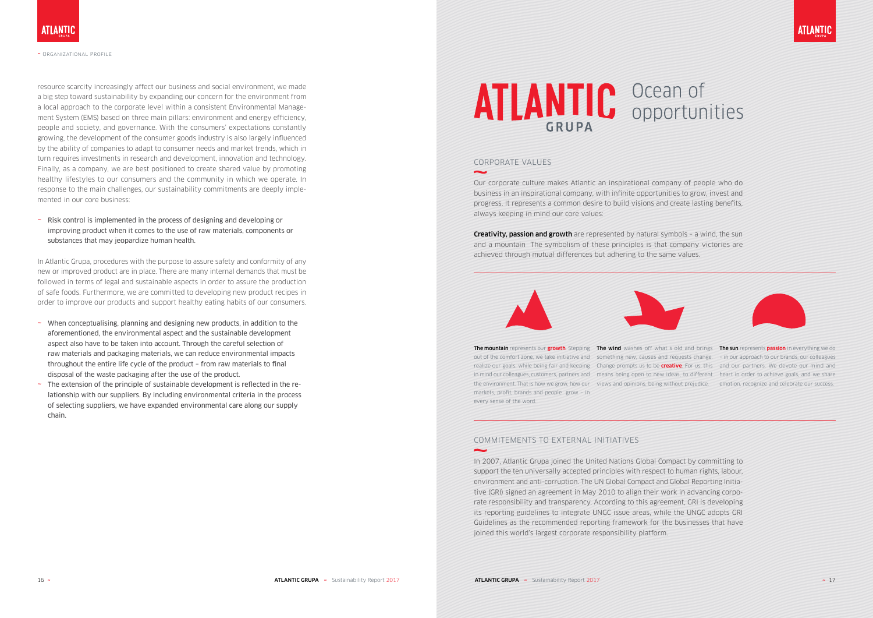resource scarcity increasingly affect our business and social environment, we made a big step toward sustainability by expanding our concern for the environment from a local approach to the corporate level within a consistent Environmental Management System (EMS) based on three main pillars: environment and energy efficiency, people and society, and governance. With the consumers' expectations constantly growing, the development of the consumer goods industry is also largely influenced by the ability of companies to adapt to consumer needs and market trends, which in turn requires investments in research and development, innovation and technology. Finally, as a company, we are best positioned to create shared value by promoting healthy lifestyles to our consumers and the community in which we operate. In response to the main challenges, our sustainability commitments are deeply implemented in our core business:

~ Risk control is implemented in the process of designing and developing or improving product when it comes to the use of raw materials, components or substances that may jeopardize human health.

In Atlantic Grupa, procedures with the purpose to assure safety and conformity of any new or improved product are in place. There are many internal demands that must be followed in terms of legal and sustainable aspects in order to assure the production of safe foods. Furthermore, we are committed to developing new product recipes in order to improve our products and support healthy eating habits of our consumers.

**Creativity, passion and growth** are represented by natural symbols - a wind, the sun and a mountain The symbolism of these principles is that company victories are achieved through mutual differences but adhering to the same values.

#### COMMITEMENTS TO EXTERNAL INITIATIVES  $\sim$





- ~ When conceptualising, planning and designing new products, in addition to the aforementioned, the environmental aspect and the sustainable development aspect also have to be taken into account. Through the careful selection of raw materials and packaging materials, we can reduce environmental impacts throughout the entire life cycle of the product – from raw materials to final disposal of the waste packaging after the use of the product.
- $\sim$  The extension of the principle of sustainable development is reflected in the relationship with our suppliers. By including environmental criteria in the process of selecting suppliers, we have expanded environmental care along our supply chain.

# **ATLANTIC** Ocean of  $GRUPA$

The mountain represents our **growth**. Stepping The wind washes off what s old and brings The sun represents passion in everything we do out of the comfort zone, we take initiative and something new, causes and requests change. - in our approach to our brands, our colleagues realize our goals, while being fair and keeping Change prompts us to be **creative**. For us, this and our partners. We devote our mind and in mind our colleagues, customers, partners and means being open to new ideas, to different heart in order to achieve goals, and we share the environment. That is how we grow, how our views and opinions, being without prejudice. emotion, recognize and celebrate our success. markets, profit, brands and people grow – in every sense of the word.



~ Organizational Profile

#### CORPORATE VALUES

Our corporate culture makes Atlantic an inspirational company of people who do business in an inspirational company, with infinite opportunities to grow, invest and progress. It represents a common desire to build visions and create lasting benefits, always keeping in mind our core values:

In 2007, Atlantic Grupa joined the United Nations Global Compact by committing to support the ten universally accepted principles with respect to human rights, labour, environment and anti-corruption. The UN Global Compact and Global Reporting Initiative (GRI) signed an agreement in May 2010 to align their work in advancing corporate responsibility and transparency. According to this agreement, GRI is developing its reporting guidelines to integrate UNGC issue areas, while the UNGC adopts GRI Guidelines as the recommended reporting framework for the businesses that have joined this world's largest corporate responsibility platform.



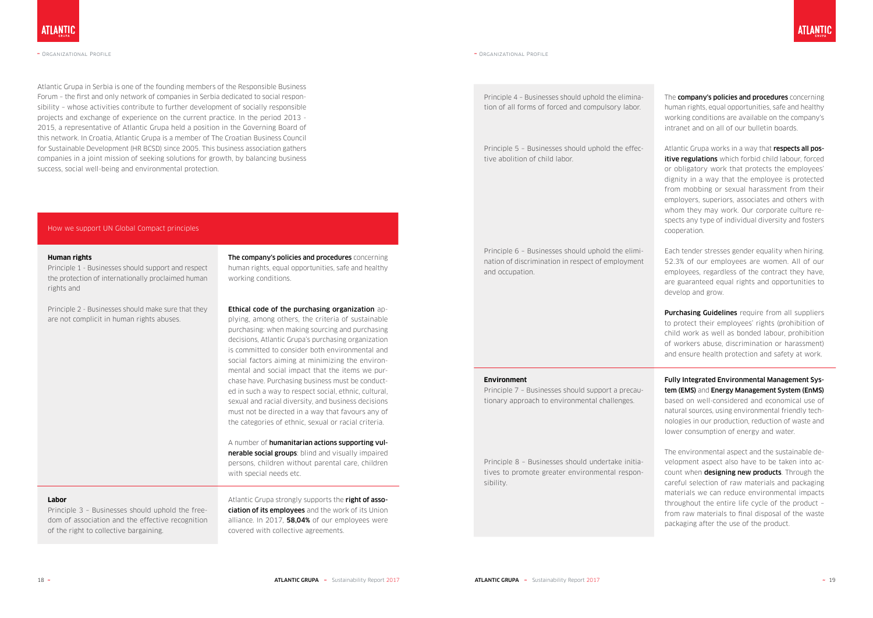Atlantic Grupa in Serbia is one of the founding members of the Responsible Business Forum – the first and only network of companies in Serbia dedicated to social responsibility – whose activities contribute to further development of socially responsible projects and exchange of experience on the current practice. In the period 2013 - 2015, a representative of Atlantic Grupa held a position in the Governing Board of this network. In Croatia, Atlantic Grupa is a member of The Croatian Business Council for Sustainable Development (HR BCSD) since 2005. This business association gathers companies in a joint mission of seeking solutions for growth, by balancing business success, social well-being and environmental protection.

> The company's policies and procedures concerning human rights, equal opportunities, safe and healthy working conditions.

#### How we support UN Global Compact principles

#### **Human rights**

Principle 1 - Businesses should support and respect the protection of internationally proclaimed human rights and

> A number of **humanitarian actions supporting vul**nerable social groups: blind and visually impaired persons, children without parental care, children with special needs etc.

Principle 2 - Businesses should make sure that they are not complicit in human rights abuses.

> Atlantic Grupa strongly supports the right of association of its employees and the work of its Union alliance. In 2017, 58,04% of our employees were covered with collective agreements.

#### Ethical code of the purchasing organization ap-

The **company's policies and procedures** concerning human rights, equal opportunities, safe and healthy working conditions are available on the company's intranet and on all of our bulletin boards.

plying, among others, the criteria of sustainable purchasing: when making sourcing and purchasing decisions, Atlantic Grupa's purchasing organization is committed to consider both environmental and social factors aiming at minimizing the environmental and social impact that the items we purchase have. Purchasing business must be conducted in such a way to respect social, ethnic, cultural, sexual and racial diversity, and business decisions must not be directed in a way that favours any of the categories of ethnic, sexual or racial criteria.

Atlantic Grupa works in a way that respects all positive regulations which forbid child labour, forced or obligatory work that protects the employees' dignity in a way that the employee is protected from mobbing or sexual harassment from their employers, superiors, associates and others with whom they may work. Our corporate culture respects any type of individual diversity and fosters cooperation.

**Purchasing Guidelines** require from all suppliers to protect their employees' rights (prohibition of child work as well as bonded labour, prohibition of workers abuse, discrimination or harassment) and ensure health protection and safety at work.

#### **Labor**

Principle 3 – Businesses should uphold the freedom of association and the effective recognition of the right to collective bargaining.



#### ~ Organizational Profile

Principle 4 – Businesses should uphold the elimination of all forms of forced and compulsory labor.

Principle 5 – Businesses should uphold the effective abolition of child labor.

Principle 6 – Businesses should uphold the elimination of discrimination in respect of employment and occupation.

Each tender stresses gender equality when hiring. 52.3% of our employees are women. All of our employees, regardless of the contract they have, are guaranteed equal rights and opportunities to develop and grow.

#### **Environment**

Principle 7 – Businesses should support a precautionary approach to environmental challenges.

Principle 8 – Businesses should undertake initiatives to promote greater environmental responsibility.

Fully Integrated Environmental Management System (EMS) and Energy Management System (EnMS) based on well-considered and economical use of natural sources, using environmental friendly technologies in our production, reduction of waste and lower consumption of energy and water.

The environmental aspect and the sustainable development aspect also have to be taken into account when **designing new products**. Through the careful selection of raw materials and packaging materials we can reduce environmental impacts throughout the entire life cycle of the product – from raw materials to final disposal of the waste packaging after the use of the product.

#### ~ Organizational Profile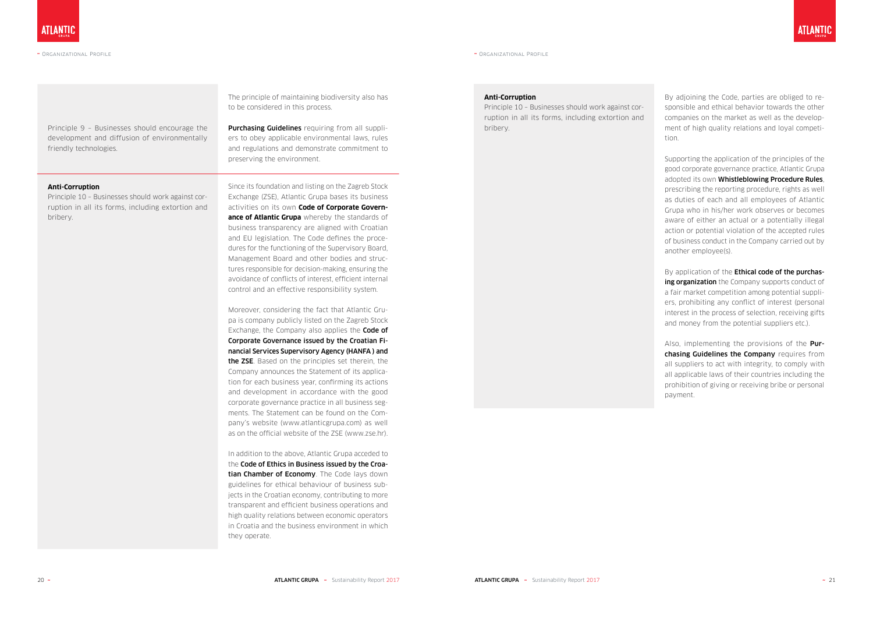Principle 9 – Businesses should encourage the development and diffusion of environmentally friendly technologies.

**Purchasing Guidelines** requiring from all suppliers to obey applicable environmental laws, rules and regulations and demonstrate commitment to preserving the environment.

The principle of maintaining biodiversity also has to be considered in this process.

#### **Anti-Corruption**

Principle 10 – Businesses should work against corruption in all its forms, including extortion and bribery.

Since its foundation and listing on the Zagreb Stock Exchange (ZSE), Atlantic Grupa bases its business activities on its own **Code of Corporate Governance of Atlantic Grupa** whereby the standards of business transparency are aligned with Croatian and EU legislation. The Code defines the procedures for the functioning of the Supervisory Board, Management Board and other bodies and structures responsible for decision-making, ensuring the avoidance of conflicts of interest, efficient internal control and an effective responsibility system.

Moreover, considering the fact that Atlantic Grupa is company publicly listed on the Zagreb Stock Exchange, the Company also applies the **Code of** Corporate Governance issued by the Croatian Financial Services Supervisory Agency (HANFA ) and the ZSE. Based on the principles set therein, the Company announces the Statement of its application for each business year, confirming its actions and development in accordance with the good corporate governance practice in all business segments. The Statement can be found on the Company's website (www.atlanticgrupa.com) as well as on the official website of the ZSE (www.zse.hr). By application of the **Ethical code of the purchas**ing organization the Company supports conduct of a fair market competition among potential suppliers, prohibiting any conflict of interest (personal interest in the process of selection, receiving gifts and money from the potential suppliers etc.).

Also, implementing the provisions of the **Pur**chasing Guidelines the Company requires from all suppliers to act with integrity, to comply with all applicable laws of their countries including the prohibition of giving or receiving bribe or personal payment.

In addition to the above, Atlantic Grupa acceded to the Code of Ethics in Business issued by the Croatian Chamber of Economy. The Code lays down guidelines for ethical behaviour of business subjects in the Croatian economy, contributing to more transparent and efficient business operations and high quality relations between economic operators in Croatia and the business environment in which they operate.

#### ~ Organizational Profile

#### **Anti-Corruption**

Principle 10 – Businesses should work against corruption in all its forms, including extortion and bribery.

By adjoining the Code, parties are obliged to responsible and ethical behavior towards the other companies on the market as well as the development of high quality relations and loyal competition.

Supporting the application of the principles of the good corporate governance practice, Atlantic Grupa adopted its own Whistleblowing Procedure Rules, prescribing the reporting procedure, rights as well as duties of each and all employees of Atlantic Grupa who in his/her work observes or becomes aware of either an actual or a potentially illegal action or potential violation of the accepted rules of business conduct in the Company carried out by another employee(s).

~ Organizational Profile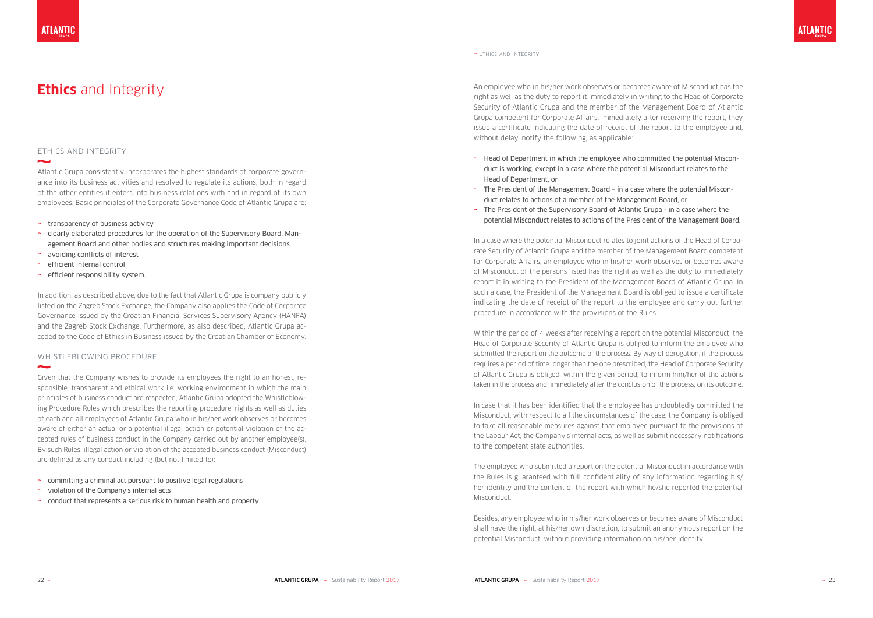### ETHICS AND INTEGRITY

Atlantic Grupa consistently incorporates the highest standards of corporate govern ance into its business activities and resolved to regulate its actions, both in regard of the other entities it enters into business relations with and in regard of its own employees. Basic principles of the Corporate Governance Code of Atlantic Grupa are:

- ~ transparency of business activity
- ~ clearly elaborated procedures for the operation of the Supervisory Board, Management Board and other bodies and structures making important decisions
- ~ avoiding conflicts of interest
- ~ efficient internal control
- ~ efficient responsibility system.

In addition, as described above, due to the fact that Atlantic Grupa is company publicly listed on the Zagreb Stock Exchange, the Company also applies the Code of Corporate Governance issued by the Croatian Financial Services Supervisory Agency (HANFA) and the Zagreb Stock Exchange. Furthermore, as also described, Atlantic Grupa ac ceded to the Code of Ethics in Business issued by the Croatian Chamber of Economy.

- $\sim$  committing a criminal act pursuant to positive legal regulations
- ~ violation of the Company's internal acts
- ~ conduct that represents a serious risk to human health and property

#### WHISTLEBLOWING PROCEDURE

**Ethics** and Integrity **An employee who in his/her work observes or becomes aware of Misconduct has the straight are not integrated to the diffusion of the diffusion of the diffusion of the diffusion of Camputer and the Us** right as well as the duty to report it immediately in writing to the Head of Corporate Security of Atlantic Grupa and the member of the Management Board of Atlantic Grupa competent for Corporate Affairs. Immediately after receiving the report, they issue a certificate indicating the date of receipt of the report to the employee and, without delay, notify the following, as applicable:

Given that the Company wishes to provide its employees the right to an honest, re sponsible, transparent and ethical work i.e. working environment in which the main principles of business conduct are respected, Atlantic Grupa adopted the Whistleblow ing Procedure Rules which prescribes the reporting procedure, rights as well as duties of each and all employees of Atlantic Grupa who in his/her work observes or becomes aware of either an actual or a potential illegal action or potential violation of the ac cepted rules of business conduct in the Company carried out by another employee(s). By such Rules, illegal action or violation of the accepted business conduct (Misconduct) are defined as any conduct including (but not limited to):

- ~ Head of Department in which the employee who committed the potential Miscon duct is working, except in a case where the potential Misconduct relates to the Head of Department, or
- ~ The President of the Management Board in a case where the potential Miscon duct relates to actions of a member of the Management Board, or
- $\sim$  The President of the Supervisory Board of Atlantic Grupa in a case where the potential Misconduct relates to actions of the President of the Management Board.

In a case where the potential Misconduct relates to joint actions of the Head of Corpo rate Security of Atlantic Grupa and the member of the Management Board competent for Corporate Affairs, an employee who in his/her work observes or becomes aware of Misconduct of the persons listed has the right as well as the duty to immediately report it in writing to the President of the Management Board of Atlantic Grupa. In such a case, the President of the Management Board is obliged to issue a certificate indicating the date of receipt of the report to the employee and carry out further procedure in accordance with the provisions of the Rules.

Within the period of 4 weeks after receiving a report on the potential Misconduct, the Head of Corporate Security of Atlantic Grupa is obliged to inform the employee who submitted the report on the outcome of the process. By way of derogation, if the process requires a period of time longer than the one prescribed, the Head of Corporate Security of Atlantic Grupa is obliged, within the given period, to inform him/her of the actions taken in the process and, immediately after the conclusion of the process, on its outcome.

In case that it has been identified that the employee has undoubtedly committed the Misconduct, with respect to all the circumstances of the case, the Company is obliged to take all reasonable measures against that employee pursuant to the provisions of the Labour Act, the Company's internal acts, as well as submit necessary notifications to the competent state authorities.

The employee who submitted a report on the potential Misconduct in accordance with the Rules is guaranteed with full confidentiality of any information regarding his/ her identity and the content of the report with which he/she reported the potential Misconduct.

Besides, any employee who in his/her work observes or becomes aware of Misconduct shall have the right, at his/her own discretion, to submit an anonymous report on the potential Misconduct, without providing information on his/her identity.

 $\sim$ 



~ Ethics and Integrity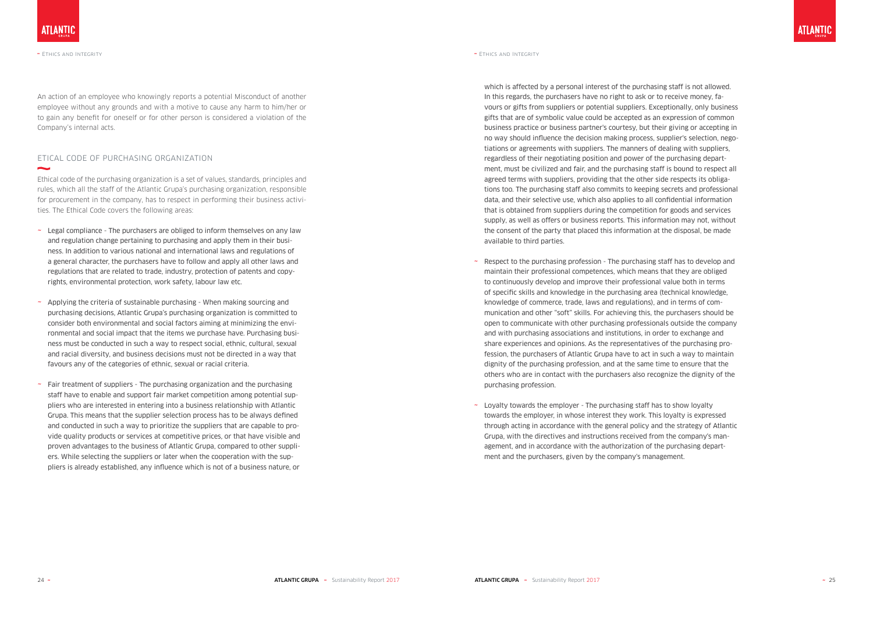### ETICAL CODE OF PURCHASING ORGANIZATION  $\sim$

An action of an employee who knowingly reports a potential Misconduct of another employee without any grounds and with a motive to cause any harm to him/her or to gain any benefit for oneself or for other person is considered a violation of the Company's internal acts.

Ethical code of the purchasing organization is a set of values, standards, principles and rules, which all the staff of the Atlantic Grupa's purchasing organization, responsible for procurement in the company, has to respect in performing their business activities. The Ethical Code covers the following areas:

- $\sim$  Legal compliance The purchasers are obliged to inform themselves on any law and regulation change pertaining to purchasing and apply them in their business. In addition to various national and international laws and regulations of a general character, the purchasers have to follow and apply all other laws and regulations that are related to trade, industry, protection of patents and copyrights, environmental protection, work safety, labour law etc.
- $\sim$  Applying the criteria of sustainable purchasing When making sourcing and purchasing decisions, Atlantic Grupa's purchasing organization is committed to consider both environmental and social factors aiming at minimizing the environmental and social impact that the items we purchase have. Purchasing business must be conducted in such a way to respect social, ethnic, cultural, sexual and racial diversity, and business decisions must not be directed in a way that favours any of the categories of ethnic, sexual or racial criteria.
- $\sim$  Fair treatment of suppliers The purchasing organization and the purchasing staff have to enable and support fair market competition among potential suppliers who are interested in entering into a business relationship with Atlantic Grupa. This means that the supplier selection process has to be always defined and conducted in such a way to prioritize the suppliers that are capable to provide quality products or services at competitive prices, or that have visible and proven advantages to the business of Atlantic Grupa, compared to other suppliers. While selecting the suppliers or later when the cooperation with the suppliers is already established, any influence which is not of a business nature, or
- $\sim$  Respect to the purchasing profession The purchasing staff has to develop and maintain their professional competences, which means that they are obliged to continuously develop and improve their professional value both in terms of specific skills and knowledge in the purchasing area (technical knowledge, knowledge of commerce, trade, laws and regulations), and in terms of communication and other "soft" skills. For achieving this, the purchasers should be open to communicate with other purchasing professionals outside the company and with purchasing associations and institutions, in order to exchange and share experiences and opinions. As the representatives of the purchasing profession, the purchasers of Atlantic Grupa have to act in such a way to maintain dignity of the purchasing profession, and at the same time to ensure that the others who are in contact with the purchasers also recognize the dignity of the purchasing profession.
- ~ Loyalty towards the employer The purchasing staff has to show loyalty towards the employer, in whose interest they work. This loyalty is expressed through acting in accordance with the general policy and the strategy of Atlantic Grupa, with the directives and instructions received from the company's management, and in accordance with the authorization of the purchasing department and the purchasers, given by the company's management.

which is affected by a personal interest of the purchasing staff is not allowed. In this regards, the purchasers have no right to ask or to receive money, favours or gifts from suppliers or potential suppliers. Exceptionally, only business gifts that are of symbolic value could be accepted as an expression of common business practice or business partner's courtesy, but their giving or accepting in no way should influence the decision making process, supplier's selection, negotiations or agreements with suppliers. The manners of dealing with suppliers, regardless of their negotiating position and power of the purchasing department, must be civilized and fair, and the purchasing staff is bound to respect all agreed terms with suppliers, providing that the other side respects its obligations too. The purchasing staff also commits to keeping secrets and professional data, and their selective use, which also applies to all confidential information that is obtained from suppliers during the competition for goods and services supply, as well as offers or business reports. This information may not, without the consent of the party that placed this information at the disposal, be made available to third parties.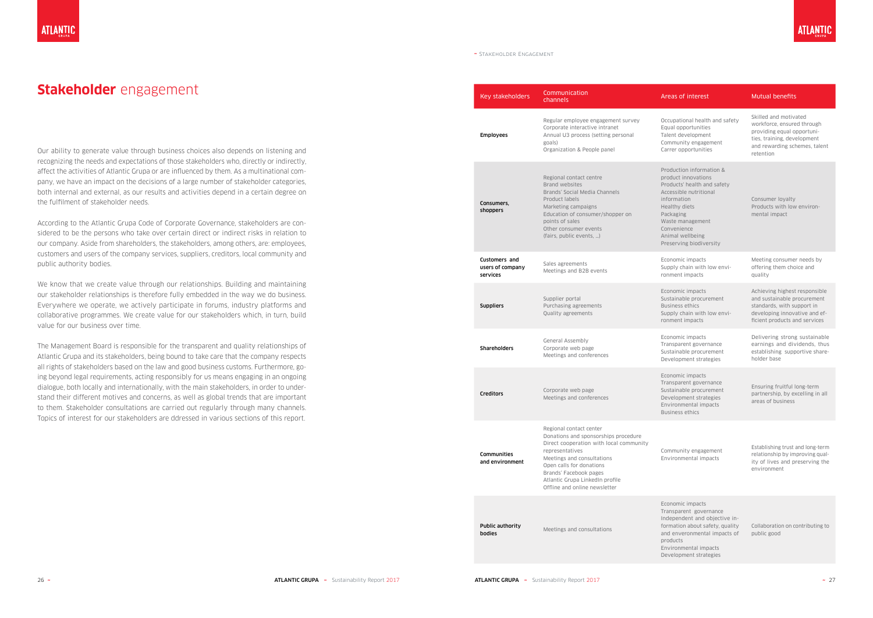Our ability to generate value through business choices also depends on listening and recognizing the needs and expectations of those stakeholders who, directly or indirectly, affect the activities of Atlantic Grupa or are influenced by them. As a multinational company, we have an impact on the decisions of a large number of stakeholder categories, both internal and external, as our results and activities depend in a certain degree on the fulfilment of stakeholder needs.

According to the Atlantic Grupa Code of Corporate Governance, stakeholders are considered to be the persons who take over certain direct or indirect risks in relation to our company. Aside from shareholders, the stakeholders, among others, are: employees, customers and users of the company services, suppliers, creditors, local community and public authority bodies.

We know that we create value through our relationships. Building and maintaining our stakeholder relationships is therefore fully embedded in the way we do business. Everywhere we operate, we actively participate in forums, industry platforms and collaborative programmes. We create value for our stakeholders which, in turn, build value for our business over time.

The Management Board is responsible for the transparent and quality relationships of Atlantic Grupa and its stakeholders, being bound to take care that the company respects all rights of stakeholders based on the law and good business customs. Furthermore, going beyond legal requirements, acting responsibly for us means engaging in an ongoing dialogue, both locally and internationally, with the main stakeholders, in order to understand their different motives and concerns, as well as global trends that are important to them. Stakeholder consultations are carried out regularly through many channels. Topics of interest for our stakeholders are ddressed in various sections of this report.

Occupational health and safety Equal opportunities Talent development Community engagement Carrer opportunities

Skilled and motivated workforce, ensured through providing equal opportunities, training, development and rewarding schemes, talent retention

Production information & product innovations Products' health and safety Accessible nutritional information Healthy diets Packaging Waste management Convenience Animal wellbeing Preserving biodiversity

Consumer loyalty Products with low environmental impact

Economic impacts Supply chain with low environment impacts

Meeting consumer needs by offering them choice and quality

| Key stakeholders                              | Communication<br>channels                                                                                                                                                                                                                                                             |
|-----------------------------------------------|---------------------------------------------------------------------------------------------------------------------------------------------------------------------------------------------------------------------------------------------------------------------------------------|
| <b>Employees</b>                              | Regular employee engagement survey<br>Corporate interactive intranet<br>Annual U3 process (setting personal<br>goals)<br>Organization & People panel                                                                                                                                  |
| Consumers,<br>shoppers                        | Regional contact centre<br>Brand websites<br>Brands' Social Media Channels<br>Product labels<br>Marketing campaigns<br>Education of consumer/shopper on<br>points of sales<br>Other consumer events<br>(fairs, public events, )                                                       |
| Customers and<br>users of company<br>services | Sales agreements<br>Meetings and B2B events                                                                                                                                                                                                                                           |
| <b>Suppliers</b>                              | Supplier portal<br>Purchasing agreements<br>Quality agreements                                                                                                                                                                                                                        |
| <b>Shareholders</b>                           | <b>General Assembly</b><br>Corporate web page<br>Meetings and conferences                                                                                                                                                                                                             |
| <b>Creditors</b>                              | Corporate web page<br>Meetings and conferences                                                                                                                                                                                                                                        |
| Communities<br>and environment                | Regional contact center<br>Donations and sponsorships procedure<br>Direct cooperation with local community<br>representatives<br>Meetings and consultations<br>Open calls for donations<br>Brands' Facebook pages<br>Atlantic Grupa LinkedIn profile<br>Offline and online newsletter |
| <b>Public authority</b><br><b>bodies</b>      | Meetings and consultations                                                                                                                                                                                                                                                            |



#### Areas of interest Mutual benefits

Economic impacts Sustainable procurement Business ethics Supply chain with low environment impacts

Achieving highest responsible and sustainable procurement standards, with support in developing innovative and efficient products and services

Economic impacts Transparent governance Sustainable procurement Development strategies

Delivering strong sustainable earnings and dividends, thus establishing supportive shareholder base

Economic impacts Transparent governance Sustainable procurement Development strategies Environmental impacts Business ethics

Ensuring fruitful long-term partnership, by excelling in all areas of business

Community engagement Environmental impacts

Establishing trust and long-term relationship by improving quality of lives and preserving the environment

Economic impacts Transparent governance Independent and objective information about safety, quality and enveronmental impacts of products Environmental impacts

Development strategies

Collaboration on contributing to public good

#### ~ Stakeholder Engagement

## **Stakeholder** engagement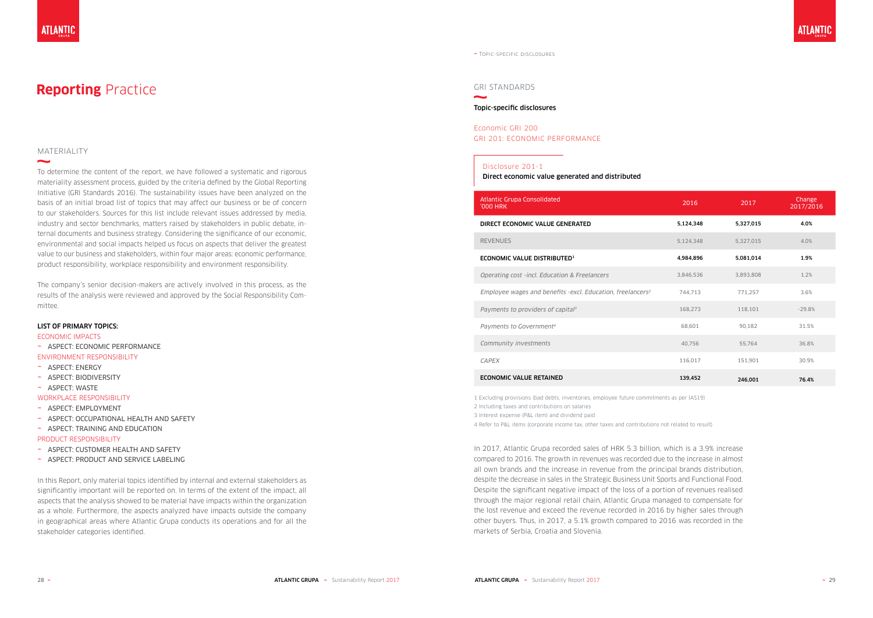#### MATERIALITY

 $\overline{\phantom{a}}$ 

To determine the content of the report, we have followed a systematic and rigorous materiality assessment process, guided by the criteria defined by the Global Reporting Initiative (GRI Standards 2016). The sustainability issues have been analyzed on the basis of an initial broad list of topics that may affect our business or be of concern to our stakeholders. Sources for this list include relevant issues addressed by media, industry and sector benchmarks, matters raised by stakeholders in public debate, internal documents and business strategy. Considering the significance of our economic, environmental and social impacts helped us focus on aspects that deliver the greatest value to our business and stakeholders, within four major areas: economic performance, product responsibility, workplace responsibility and environment responsibility.

The company's senior decision-makers are actively involved in this process, as the results of the analysis were reviewed and approved by the Social Responsibility Committee.

#### LIST OF PRIMARY TOPICS:

#### ECONOMIC IMPACTS

- ~ ASPECT: ECONOMIC PERFORMANCE
- ENVIRONMENT RESPONSIBILITY
- ~ ASPECT: ENERGY
- ~ ASPECT: BIODIVERSITY
- ~ ASPECT: WASTE
- WORKPLACE RESPONSIBILITY
- ~ ASPECT: EMPLOYMENT
- ~ ASPECT: OCCUPATIONAL HEALTH AND SAFETY
- ~ ASPECT: TRAINING AND EDUCATION

#### PRODUCT RESPONSIBILITY

- ~ ASPECT: CUSTOMER HEALTH AND SAFETY
- ~ ASPECT: PRODUCT AND SERVICE LABELING

In this Report, only material topics identified by internal and external stakeholders as significantly important will be reported on. In terms of the extent of the impact, all aspects that the analysis showed to be material have impacts within the organization as a whole. Furthermore, the aspects analyzed have impacts outside the company in geographical areas where Atlantic Grupa conducts its operations and for all the stakeholder categories identified.

## **Reporting** Practice

In 2017, Atlantic Grupa recorded sales of HRK 5.3 billion, which is a 3.9% increase compared to 2016. The growth in revenues was recorded due to the increase in almost all own brands and the increase in revenue from the principal brands distribution, despite the decrease in sales in the Strategic Business Unit Sports and Functional Food. Despite the significant negative impact of the loss of a portion of revenues realised through the major regional retail chain, Atlantic Grupa managed to compensate for the lost revenue and exceed the revenue recorded in 2016 by higher sales through other buyers. Thus, in 2017, a 5.1% growth compared to 2016 was recorded in the markets of Serbia, Croatia and Slovenia.

#### GRI STANDARDS

### Topic-specific disclosures

#### Economic GRI 200 GRI 201: ECONOMIC PERFORMANCE

| Atlantic Grupa Consolidated<br>'000 HRK                                | 2016      | 2017      | Change<br>2017/2016 |
|------------------------------------------------------------------------|-----------|-----------|---------------------|
| DIRECT ECONOMIC VALUE GENERATED                                        | 5,124,348 | 5,327,015 | 4.0%                |
| <b>REVENUES</b>                                                        | 5,124,348 | 5,327,015 | 4.0%                |
| ECONOMIC VALUE DISTRIBUTED <sup>1</sup>                                | 4,984,896 | 5,081,014 | 1.9%                |
| Operating cost -incl. Education & Freelancers                          | 3,846,536 | 3,893,808 | 1.2%                |
| Employee wages and benefits -excl. Education, freelancers <sup>2</sup> | 744,713   | 771,257   | 3.6%                |
| Payments to providers of capital <sup>3</sup>                          | 168,273   | 118,101   | $-29.8%$            |
| Payments to Government <sup>4</sup>                                    | 68,601    | 90.182    | 31.5%               |
| Community investments                                                  | 40,756    | 55,764    | 36.8%               |
| <b>CAPEX</b>                                                           | 116,017   | 151,901   | 30.9%               |
| <b>ECONOMIC VALUE RETAINED</b>                                         | 139,452   | 246.001   | 76.4%               |

1 Excluding provisions (bad debts, inventories, employee future commitments as per IAS19)

2 Including taxes and contributions on salaries

3 Interest expense (P&L item) and dividend paid

4 Refer to P&L items (corporate income tax, other taxes and contributions not related to result)

~ Topic-specific disclosures

#### Disclosure 201-1

Direct economic value generated and distributed

#### DIRECT ECONOMIC VALUE GENERATED

#### ECONOMIC VALUE DISTRIBUTED<sup>1</sup>

#### **ECONOMIC VALUE RETAINED**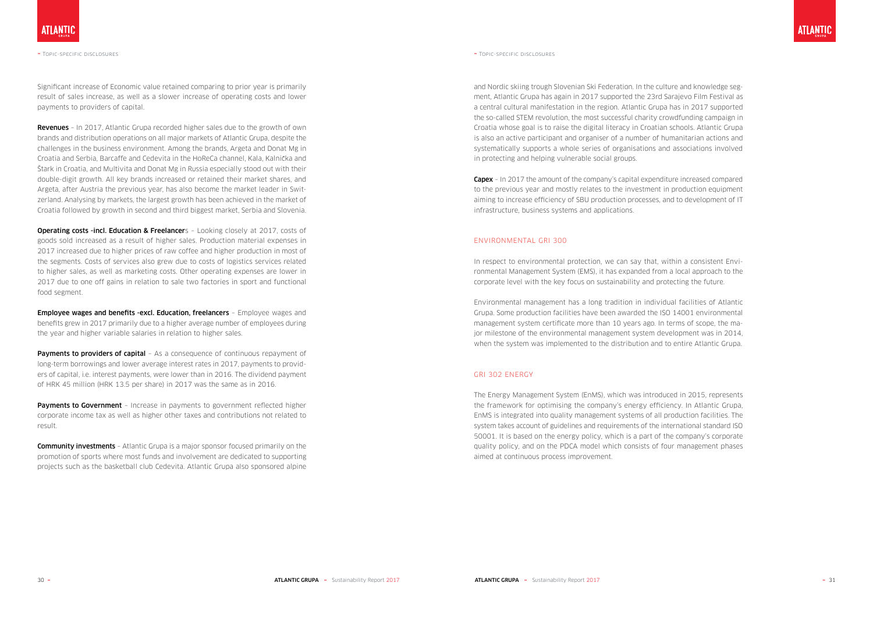Significant increase of Economic value retained comparing to prior year is primarily result of sales increase, as well as a slower increase of operating costs and lower payments to providers of capital.

**Revenues** - In 2017, Atlantic Grupa recorded higher sales due to the growth of own brands and distribution operations on all major markets of Atlantic Grupa, despite the challenges in the business environment. Among the brands, Argeta and Donat Mg in Croatia and Serbia, Barcaffe and Cedevita in the HoReCa channel, Kala, Kalnicka and Štark in Croatia, and Multivita and Donat Mg in Russia especially stood out with their double-digit growth. All key brands increased or retained their market shares, and Argeta, after Austria the previous year, has also become the market leader in Switzerland. Analysing by markets, the largest growth has been achieved in the market of Croatia followed by growth in second and third biggest market, Serbia and Slovenia.

**Operating costs -incl. Education & Freelancer**s - Looking closely at 2017, costs of goods sold increased as a result of higher sales. Production material expenses in 2017 increased due to higher prices of raw coffee and higher production in most of the segments. Costs of services also grew due to costs of logistics services related to higher sales, as well as marketing costs. Other operating expenses are lower in 2017 due to one off gains in relation to sale two factories in sport and functional food segment.

**Payments to providers of capital** - As a consequence of continuous repayment of long-term borrowings and lower average interest rates in 2017, payments to providers of capital, i.e. interest payments, were lower than in 2016. The dividend payment of HRK 45 million (HRK 13.5 per share) in 2017 was the same as in 2016.

Payments to Government - Increase in payments to government reflected higher corporate income tax as well as higher other taxes and contributions not related to result.

**Community investments** - Atlantic Grupa is a major sponsor focused primarily on the promotion of sports where most funds and involvement are dedicated to supporting projects such as the basketball club Cedevita. Atlantic Grupa also sponsored alpine

Employee wages and benefits -excl. Education, freelancers – Employee wages and benefits grew in 2017 primarily due to a higher average number of employees during the year and higher variable salaries in relation to higher sales.

**Capex** – In 2017 the amount of the company's capital expenditure increased compared to the previous year and mostly relates to the investment in production equipment aiming to increase efficiency of SBU production processes, and to development of IT infrastructure, business systems and applications.

~ Topic-specific disclosures ~ Topic-specific disclosures

and Nordic skiing trough Slovenian Ski Federation. In the culture and knowledge segment, Atlantic Grupa has again in 2017 supported the 23rd Sarajevo Film Festival as a central cultural manifestation in the region. Atlantic Grupa has in 2017 supported the so-called STEM revolution, the most successful charity crowdfunding campaign in Croatia whose goal is to raise the digital literacy in Croatian schools. Atlantic Grupa is also an active participant and organiser of a number of humanitarian actions and systematically supports a whole series of organisations and associations involved in protecting and helping vulnerable social groups.

#### ENVIRONMENTAL GRI 300

In respect to environmental protection, we can say that, within a consistent Environmental Management System (EMS), it has expanded from a local approach to the corporate level with the key focus on sustainability and protecting the future.

Environmental management has a long tradition in individual facilities of Atlantic Grupa. Some production facilities have been awarded the ISO 14001 environmental management system certificate more than 10 years ago. In terms of scope, the major milestone of the environmental management system development was in 2014, when the system was implemented to the distribution and to entire Atlantic Grupa.

#### GRI 302 ENERGY

The Energy Management System (EnMS), which was introduced in 2015, represents the framework for optimising the company's energy efficiency. In Atlantic Grupa, EnMS is integrated into quality management systems of all production facilities. The system takes account of guidelines and requirements of the international standard ISO 50001. It is based on the energy policy, which is a part of the company's corporate quality policy, and on the PDCA model which consists of four management phases aimed at continuous process improvement.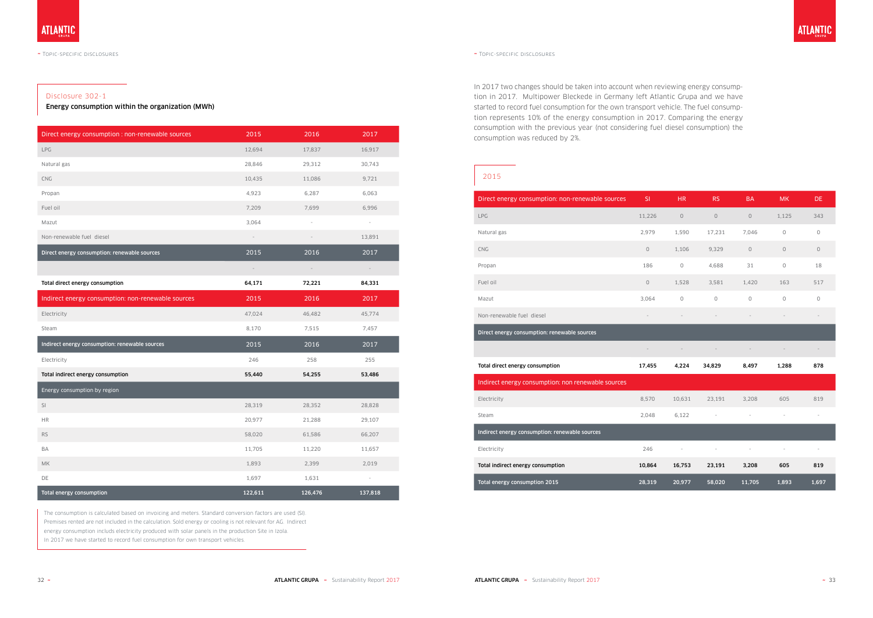#### Disclosure 302-1

Energy consumption within the organization (MWh)

| Direct energy consumption : non-renewable sources  | 2015                     | 2016                     | 2017                |
|----------------------------------------------------|--------------------------|--------------------------|---------------------|
| LPG                                                | 12,694                   | 17,837                   | 16,917              |
| Natural gas                                        | 28,846                   | 29,312                   | 30,743              |
| <b>CNG</b>                                         | 10,435                   | 11,086                   | 9,721               |
| Propan                                             | 4,923                    | 6,287                    | 6,063               |
| Fuel oil                                           | 7,209                    | 7,699                    | 6,996               |
| Mazut                                              | 3,064                    | $\overline{\phantom{a}}$ | $\equiv$            |
| Non-renewable fuel diesel                          | $\overline{\phantom{a}}$ | $\overline{\phantom{a}}$ | 13,891              |
| Direct energy consumption: renewable sources       | 2015                     | 2016                     | 2017                |
|                                                    | $\frac{1}{2}$            | $\overline{\phantom{a}}$ | $\blacksquare$      |
| Total direct energy consumption                    | 64,171                   | 72,221                   | 84,331              |
| Indirect energy consumption: non-renewable sources | 2015                     | 2016                     | 2017                |
| Electricity                                        | 47,024                   | 46,482                   | 45,774              |
| Steam                                              | 8,170                    | 7,515                    | 7,457               |
| Indirect energy consumption: renewable sources     | 2015                     | 2016                     | 2017                |
| Electricity                                        | 246                      | 258                      | 255                 |
| Total indirect energy consumption                  | 55,440                   | 54,255                   | 53,486              |
| Energy consumption by region                       |                          |                          |                     |
| SI                                                 | 28,319                   | 28,352                   | 28,828              |
| <b>HR</b>                                          | 20,977                   | 21,288                   | 29,107              |
| <b>RS</b>                                          | 58,020                   | 61,586                   | 66,207              |
| BA                                                 | 11,705                   | 11,220                   | 11,657              |
| МK                                                 | 1,893                    | 2,399                    | 2,019               |
| DE                                                 | 1,697                    | 1,631                    | $\bar{\phantom{a}}$ |
| Total energy consumption                           | 122,611                  | 126,476                  | 137,818             |

The consumption is calculated based on invoicing and meters. Standard conversion factors are used (SI). Premises rented are not included in the calculation. Sold energy or cooling is not relevant for AG. Indirect energy consumption includs electricity produced with solar panels in the production Site in Izola. In 2017 we have started to record fuel consumption for own transport vehicles.

### 2015

| Direct energy consumption: non-renewable sources   | SI          | <b>HR</b>                | <b>RS</b>                | <b>BA</b>                | <b>MK</b>      | DE.            |
|----------------------------------------------------|-------------|--------------------------|--------------------------|--------------------------|----------------|----------------|
| LPG                                                | 11,226      | $\circ$                  | $\circledcirc$           | $\circ$                  | 1,125          | 343            |
| Natural gas                                        | 2,979       | 1,590                    | 17,231                   | 7,046                    | $\circledcirc$ | $\circ$        |
| <b>CNG</b>                                         | $\mathsf O$ | 1,106                    | 9,329                    | $\mathsf O$              | $\circ$        | $\circledcirc$ |
| Propan                                             | 186         | $\circ$                  | 4,688                    | 31                       | 0              | 18             |
| Fuel oil                                           | $\mathsf O$ | 1,528                    | 3,581                    | 1,420                    | 163            | 517            |
| Mazut                                              | 3,064       | $\circ$                  | $\circ$                  | $\circ$                  | $\circ$        | 0              |
| Non-renewable fuel diesel                          |             |                          |                          |                          |                |                |
| Direct energy consumption: renewable sources       |             |                          |                          |                          |                |                |
|                                                    |             | $\overline{\phantom{a}}$ |                          |                          |                |                |
| Total direct energy consumption                    | 17,455      | 4,224                    | 34,829                   | 8,497                    | 1,288          | 878            |
| Indirect energy consumption: non renewable sources |             |                          |                          |                          |                |                |
| Electricity                                        | 8,570       | 10,631                   | 23,191                   | 3,208                    | 605            | 819            |
| Steam                                              | 2,048       | 6,122                    | $\overline{\phantom{a}}$ | $\overline{\phantom{a}}$ | $\equiv$       | ÷,             |
| Indirect energy consumption: renewable sources     |             |                          |                          |                          |                |                |
| Electricity                                        | 246         |                          |                          |                          |                |                |
| Total indirect energy consumption                  | 10,864      | 16,753                   | 23,191                   | 3,208                    | 605            | 819            |
| Total energy consumption 2015                      | 28,319      | 20,977                   | 58,020                   | 11,705                   | 1,893          | 1,697          |

In 2017 two changes should be taken into account when reviewing energy consumption in 2017. Multipower Bleckede in Germany left Atlantic Grupa and we have started to record fuel consumption for the own transport vehicle. The fuel consumption represents 10% of the energy consumption in 2017. Comparing the energy consumption with the previous year (not considering fuel diesel consumption) the consumption was reduced by 2%.

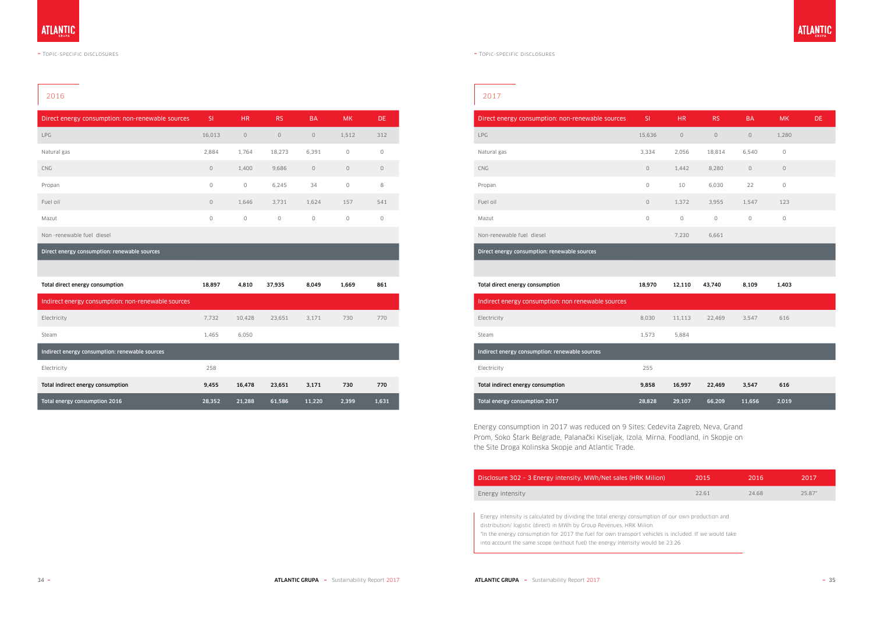### 2016

| Direct energy consumption: non-renewable sources | <b>SI</b> | HR.            | RS.     | <b>BA</b> | <b>MK</b>      | DE.     |
|--------------------------------------------------|-----------|----------------|---------|-----------|----------------|---------|
| <b>LPG</b>                                       | 16,013    | $\circ$        | $\circ$ | $\circ$   | 1,512          | 312     |
| Natural gas                                      | 2,884     | 1,764          | 18,273  | 6,391     | $\circ$        | $\circ$ |
| <b>CNG</b>                                       | $\circ$   | 1,400          | 9,686   | $\circ$   | $\circ$        | $\circ$ |
| Propan                                           | $\circ$   | $\circledcirc$ | 6,245   | 34        | $\circledcirc$ | 8       |
| Fuel oil                                         | $\circ$   | 1,646          | 3,731   | 1,624     | 157            | 541     |
| Mazut                                            | 0         | $\circ$        | $\circ$ | $\circ$   | $\circ$        | $\circ$ |
|                                                  |           |                |         |           |                |         |

Non -renewable fuel diesel

Direct energy consumption: renewable sources

| Total direct energy consumption                    | 18,897 | 4,810  | 37,935 | 8,049  | 1,669 | 861   |
|----------------------------------------------------|--------|--------|--------|--------|-------|-------|
| Indirect energy consumption: non-renewable sources |        |        |        |        |       |       |
| Electricity                                        | 7.732  | 10.428 | 23.651 | 3,171  | 730   | 770   |
| Steam                                              | 1,465  | 6,050  |        |        |       |       |
| Indirect energy consumption: renewable sources     |        |        |        |        |       |       |
| Electricity                                        | 258    |        |        |        |       |       |
| Total indirect energy consumption                  | 9,455  | 16,478 | 23,651 | 3,171  | 730   | 770   |
| Total energy consumption 2016                      | 28,352 | 21.288 | 61,586 | 11.220 | 2.399 | 1,631 |

### 2017

| Direct energy consumption: non-renewable sources | <sup>SI</sup> | HR.     | <b>RS</b> | <b>BA</b>           | <b>MK</b>    | DE. |
|--------------------------------------------------|---------------|---------|-----------|---------------------|--------------|-----|
| <b>LPG</b>                                       | 15,636        | $\circ$ | $\circ$   | $\mathsf{O}\xspace$ | 1,280        |     |
| Natural gas                                      | 3,334         | 2,056   | 18,814    | 6,540               | $\mathsf{O}$ |     |
| CNG                                              | $\circ$       | 1,442   | 8,280     | 0                   | $\circ$      |     |
| Propan                                           | 0             | 10      | 6,030     | 22                  | $\mathsf{O}$ |     |
| Fuel oil                                         | $\circ$       | 1,372   | 3,955     | 1,547               | 123          |     |
| Mazut                                            | $\circ$       | $\circ$ | $\circ$   | 0                   | 0            |     |
| Non-renewable fuel diesel                        |               | 7,230   | 6,661     |                     |              |     |
| Direct energy consumption: renewable sources     |               |         |           |                     |              |     |
|                                                  |               |         |           |                     |              |     |

| Total direct energy consumption                    | 18,970 | 12,110 | 43,740 | 8,109  | 1,403 |
|----------------------------------------------------|--------|--------|--------|--------|-------|
| Indirect energy consumption: non renewable sources |        |        |        |        |       |
| Electricity                                        | 8,030  | 11,113 | 22,469 | 3,547  | 616   |
| <b>Steam</b>                                       | 1,573  | 5,884  |        |        |       |
| Indirect energy consumption: renewable sources     |        |        |        |        |       |
| Electricity                                        | 255    |        |        |        |       |
| Total indirect energy consumption                  | 9,858  | 16,997 | 22,469 | 3,547  | 616   |
| Total energy consumption 2017                      | 28,828 | 29,107 | 66,209 | 11,656 | 2,019 |

Energy consumption in 2017 was reduced on 9 Sites: Cedevita Zagreb, Neva, Grand Prom, Soko Štark Belgrade, Palanacki Kiseljak, Izola, Mirna, Foodland, in Skopje on the Site Droga Kolinska Skopje and Atlantic Trade.

Disclosure 302 - 3 Energy intensity, MWh/Net sales (HRK Milic

Energy intensity

Energy intensity is calculated by dividing the total energy consumption of our own production and distribution/ logistic (direct) in MWh by Group Revenues, HRK Milion. \*In the energy consumption for 2017 the fuel for own transport vehicles is included. If we would take into account the same scope (without fuel) the energy intensity would be 23.26

| (n | 2015  | 2016  | 2017     |
|----|-------|-------|----------|
|    | 22.61 | 24.68 | $25.87*$ |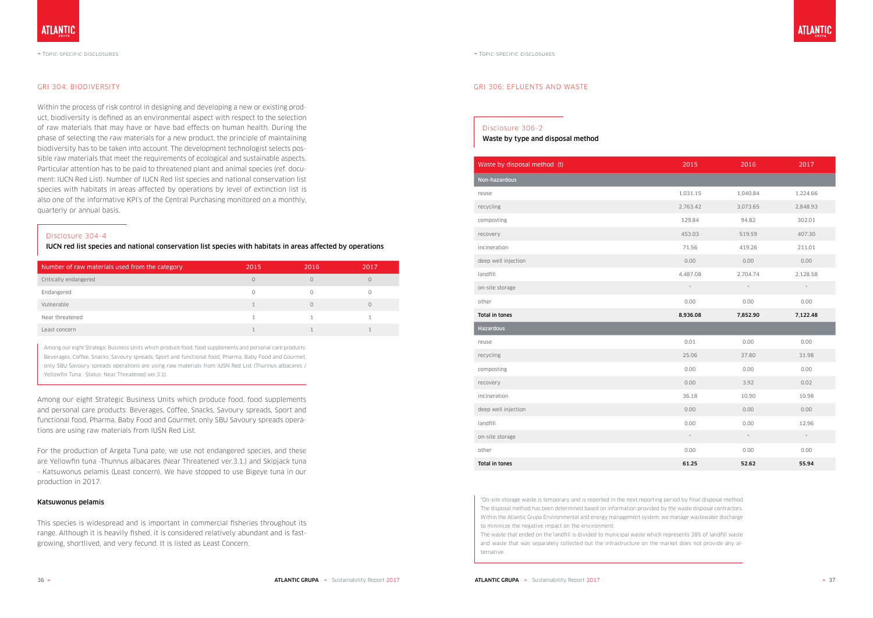#### GRI 304: BIODIVERSITY

Within the process of risk control in designing and developing a new or existing product, biodiversity is defined as an environmental aspect with respect to the selection of raw materials that may have or have bad effects on human health. During the phase of selecting the raw materials for a new product, the principle of maintaining biodiversity has to be taken into account. The development technologist selects possible raw materials that meet the requirements of ecological and sustainable aspects. Particular attention has to be paid to threatened plant and animal species (ref. document: IUCN Red List). Number of IUCN Red list species and national conservation list species with habitats in areas affected by operations by level of extinction list is also one of the informative KPI's of the Central Purchasing monitored on a monthly, quarterly or annual basis.

Among our eight Strategic Business Units which produce food, food supplements and personal care products: Beverages, Coffee, Snacks, Savoury spreads, Sport and functional food, Pharma, Baby Food and Gourmet, only SBU Savoury spreads operations are using raw materials from IUSN Red List.

For the production of Argeta Tuna pate, we use not endangered species, and these are Yellowfin tuna -Thunnus albacares (Near Threatened ver.3.1.) and Skipjack tuna - Katsuwonus pelamis (Least concern). We have stopped to use Bigeye tuna in our production in 2017.

#### Katsuwonus pelamis

This species is widespread and is important in commercial fisheries throughout its range. Although it is heavily fished, it is considered relatively abundant and is fastgrowing, shortlived, and very fecund. It is listed as Least Concern.

#### Disclosure 304-4

IUCN red list species and national conservation list species with habitats in areas affected by operations

| Number of raw materials used from the category | 2015     | 2016     | 2017 |
|------------------------------------------------|----------|----------|------|
| Critically endangered                          | $\circ$  | 0        | 0    |
| Endangered                                     | $\Omega$ | $\cap$   |      |
| Vulnerable                                     |          | $\Omega$ | O    |
| Near threatened                                |          |          |      |
| Least concern                                  |          |          |      |

Among our eight Strategic Business Units which produce food, food supplements and personal care products: Beverages, Coffee, Snacks, Savoury spreads, Sport and functional food, Pharma, Baby Food and Gourmet, only SBU Savoury spreads operations are using raw materials from IUSN Red List (Thunnus albacares / Yellowfin Tuna; Status: Near Threatened ver.3.1).



~ Topic-specific disclosures

#### GRI 306: EFLUENTS AND WASTE

### Disclosure 306-2

#### Waste by type and disposal method

| Waste by disposal method (t) | 2015     | 2016     | 2017     |
|------------------------------|----------|----------|----------|
| Non-hazardous                |          |          |          |
| reuse                        | 1,031.15 | 1,040.84 | 1,224.66 |
| recycling                    | 2,763.42 | 3,073.65 | 2,848.93 |
| composting                   | 129.84   | 94.82    | 302.01   |
| recovery                     | 453.03   | 519.59   | 407.30   |
| incineration                 | 71.56    | 419.26   | 211.01   |
| deep well injection          | 0.00     | 0.00     | 0.00     |
| landfill                     | 4,487.08 | 2,704.74 | 2,128.58 |
| on-site storage              | $^\star$ | $^\star$ | $^\star$ |
| other                        | 0.00     | 0.00     | 0.00     |
| Total in tones               | 8,936.08 | 7,852.90 | 7,122.48 |
| <b>Hazardous</b>             |          |          |          |
| reuse                        | 0.01     | 0.00     | 0.00     |
| recycling                    | 25.06    | 37.80    | 31.98    |
| composting                   | 0.00     | 0.00     | 0.00     |
| recovery                     | 0.00     | 3.92     | 0.02     |
| incineration                 | 36.18    | 10.90    | 10.98    |
| deep well injection          | 0.00     | 0.00     | 0.00     |
| landfill                     | 0.00     | 0.00     | 12.96    |
| on-site storage              | $^\star$ | $^\star$ | $^\star$ |
| other                        | 0.00     | 0.00     | 0.00     |
|                              |          |          |          |

| Waste by disposal method (t) | 2015     | 2016       | 2017     |
|------------------------------|----------|------------|----------|
| Non-hazardous                |          |            |          |
| reuse                        | 1,031.15 | 1,040.84   | 1,224.66 |
| recycling                    | 2,763.42 | 3,073.65   | 2,848.93 |
| composting                   | 129.84   | 94.82      | 302.01   |
| recovery                     | 453.03   | 519.59     | 407.30   |
| incineration                 | 71.56    | 419.26     | 211.01   |
| deep well injection          | 0.00     | 0.00       | 0.00     |
| landfill                     | 4,487.08 | 2,704.74   | 2,128.58 |
| on-site storage              | $^\star$ | $^{\star}$ | $^\star$ |
| other                        | 0.00     | 0.00       | 0.00     |
| Total in tones               | 8,936.08 | 7,852.90   | 7,122.48 |
| <b>Hazardous</b>             |          |            |          |
| reuse                        | 0.01     | 0.00       | 0.00     |
| recycling                    | 25.06    | 37.80      | 31.98    |
| composting                   | 0.00     | 0.00       | 0.00     |
| recovery                     | 0.00     | 3.92       | 0.02     |
| incineration                 | 36.18    | 10.90      | 10.98    |
| deep well injection          | 0.00     | 0.00       | 0.00     |
| landfill                     | 0.00     | 0.00       | 12.96    |
| on-site storage              | $^\star$ | $^\star$   | $\star$  |
| other                        | 0.00     | 0.00       | 0.00     |
| Total in tones               | 61.25    | 52.62      | 55.94    |

\*On-site storage waste is temporary and is reported in the next reporting period by final disposal method The disposal method has been determined based on information provided by the waste disposal contractors. Within the Atlantic Grupa Environmental and energy management system, we manage wastewater discharge to minimize the negative impact on the environment.

The waste that ended on the landfill is divided to municipal waste which represents 38% of landfill waste and waste that was separately collected but the infrastructure on the market does not provide any alternative.

## **ATLANTIC**

~ Topic-specific disclosures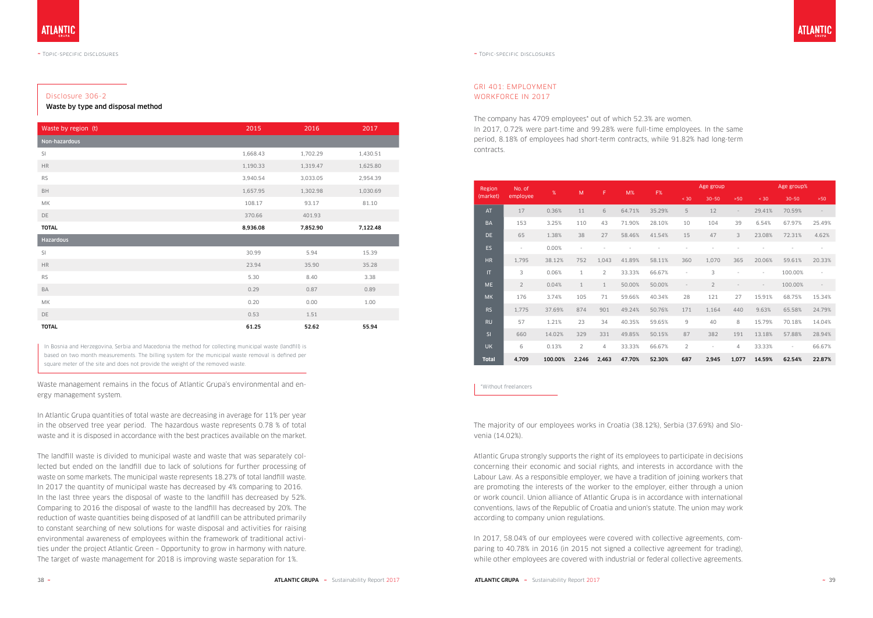#### $\sim$  Topic-specific disclosures  $\sim$  Topic-specific disclosures  $\sim$  Topic-specific disclosures

#### Disclosure 306-2

Waste by type and disposal method

| Waste by region (t) | 2015     | 2016     | 2017     |
|---------------------|----------|----------|----------|
| Non-hazardous       |          |          |          |
| SI                  | 1,668.43 | 1,702.29 | 1,430.51 |
| <b>HR</b>           | 1,190.33 | 1,319.47 | 1,625.80 |
| <b>RS</b>           | 3,940.54 | 3,033.05 | 2,954.39 |
| BH                  | 1,657.95 | 1,302.98 | 1,030.69 |
| МK                  | 108.17   | 93.17    | 81.10    |
| DE                  | 370.66   | 401.93   |          |
| <b>TOTAL</b>        | 8,936.08 | 7,852.90 | 7,122.48 |
| Hazardous           |          |          |          |
| SI                  | 30.99    | 5.94     | 15.39    |
| <b>HR</b>           | 23.94    | 35.90    | 35.28    |
| <b>RS</b>           | 5.30     | 8.40     | 3.38     |
| BA                  | 0.29     | 0.87     | 0.89     |
| МK                  | 0.20     | 0.00     | 1.00     |
| DE                  | 0.53     | 1.51     |          |
| <b>TOTAL</b>        | 61.25    | 52.62    | 55.94    |

In Bosnia and Herzegovina, Serbia and Macedonia the method for collecting municipal waste (landfill) is based on two month measurements. The billing system for the municipal waste removal is defined per square meter of the site and does not provide the weight of the removed waste.

Waste management remains in the focus of Atlantic Grupa's environmental and energy management system.

In Atlantic Grupa quantities of total waste are decreasing in average for 11% per year in the observed tree year period. The hazardous waste represents 0.78 % of total waste and it is disposed in accordance with the best practices available on the market.

The landfill waste is divided to municipal waste and waste that was separately collected but ended on the landfill due to lack of solutions for further processing of waste on some markets. The municipal waste represents 18.27% of total landfill waste. In 2017 the quantity of municipal waste has decreased by 4% comparing to 2016. In the last three years the disposal of waste to the landfill has decreased by 52%. Comparing to 2016 the disposal of waste to the landfill has decreased by 20%. The reduction of waste quantities being disposed of at landfill can be attributed primarily to constant searching of new solutions for waste disposal and activities for raising environmental awareness of employees within the framework of traditional activities under the project Atlantic Green – Opportunity to grow in harmony with nature. The target of waste management for 2018 is improving waste separation for 1%.

| Region       | No. of         | %       | M            | F              | $M\%$  | F%     |                | Age group      |                          |        | Age group%               |                          |
|--------------|----------------|---------|--------------|----------------|--------|--------|----------------|----------------|--------------------------|--------|--------------------------|--------------------------|
| (market)     | employee       |         |              |                |        |        | < 30           | $30 - 50$      | $>50$                    | < 30   | $30 - 50$                | $>50$                    |
| <b>AT</b>    | 17             | 0.36%   | 11           | 6              | 64.71% | 35.29% | 5              | 12             | $\overline{\phantom{a}}$ | 29.41% | 70.59%                   |                          |
| <b>BA</b>    | 153            | 3.25%   | 110          | 43             | 71.90% | 28.10% | 10             | 104            | 39                       | 6.54%  | 67.97%                   | 25.49%                   |
| <b>DE</b>    | 65             | 1.38%   | 38           | 27             | 58.46% | 41.54% | 15             | 47             | 3                        | 23.08% | 72.31%                   | 4.62%                    |
| <b>ES</b>    | $\sim$         | 0.00%   |              |                |        |        |                |                |                          |        |                          | $\bar{a}$                |
| <b>HR</b>    | 1,795          | 38.12%  | 752          | 1,043          | 41.89% | 58.11% | 360            | 1,070          | 365                      | 20.06% | 59.61%                   | 20.33%                   |
| $\mathsf{I}$ | 3              | 0.06%   | $\mathbf{1}$ | $\overline{2}$ | 33.33% | 66.67% |                | 3              | $\bar{a}$                |        | 100.00%                  | $\overline{\phantom{a}}$ |
| <b>ME</b>    | $\overline{2}$ | 0.04%   | $\mathbf{1}$ | $\mathbf{1}$   | 50.00% | 50.00% |                | $\overline{2}$ |                          |        | 100.00%                  | $\overline{\phantom{a}}$ |
| <b>MK</b>    | 176            | 3.74%   | 105          | 71             | 59.66% | 40.34% | 28             | 121            | 27                       | 15.91% | 68.75%                   | 15.34%                   |
| <b>RS</b>    | 1,775          | 37.69%  | 874          | 901            | 49.24% | 50.76% | 171            | 1,164          | 440                      | 9.63%  | 65.58%                   | 24.79%                   |
| <b>RU</b>    | 57             | 1.21%   | 23           | 34             | 40.35% | 59.65% | 9              | 40             | 8                        | 15.79% | 70.18%                   | 14.04%                   |
| SI           | 660            | 14.02%  | 329          | 331            | 49.85% | 50.15% | 87             | 382            | 191                      | 13.18% | 57.88%                   | 28.94%                   |
| <b>UK</b>    | 6              | 0.13%   | 2            | $\overline{4}$ | 33.33% | 66.67% | $\overline{2}$ | ÷              | 4                        | 33.33% | $\overline{\phantom{a}}$ | 66.67%                   |
| <b>Total</b> | 4,709          | 100.00% | 2,246        | 2,463          | 47.70% | 52.30% | 687            | 2,945          | 1,077                    | 14.59% | 62.54%                   | 22.87%                   |

\*Without freelancers

The majority of our employees works in Croatia (38.12%), Serbia (37.69%) and Slovenia (14.02%).

Atlantic Grupa strongly supports the right of its employees to participate in decisions concerning their economic and social rights, and interests in accordance with the Labour Law. As a responsible employer, we have a tradition of joining workers that are promoting the interests of the worker to the employer, either through a union or work council. Union alliance of Atlantic Grupa is in accordance with international conventions, laws of the Republic of Croatia and union's statute. The union may work according to company union regulations.

In 2017, 58.04% of our employees were covered with collective agreements, comparing to 40.78% in 2016 (in 2015 not signed a collective agreement for trading), while other employees are covered with industrial or federal collective agreements. ATLANTI(

### GRI 401: EMPLOYMENT WORKFORCE IN 2017

The company has 4709 employees\* out of which 52.3% are women. In 2017, 0.72% were part-time and 99.28% were full-time employees. In the same period, 8.18% of employees had short-term contracts, while 91.82% had long-term contracts.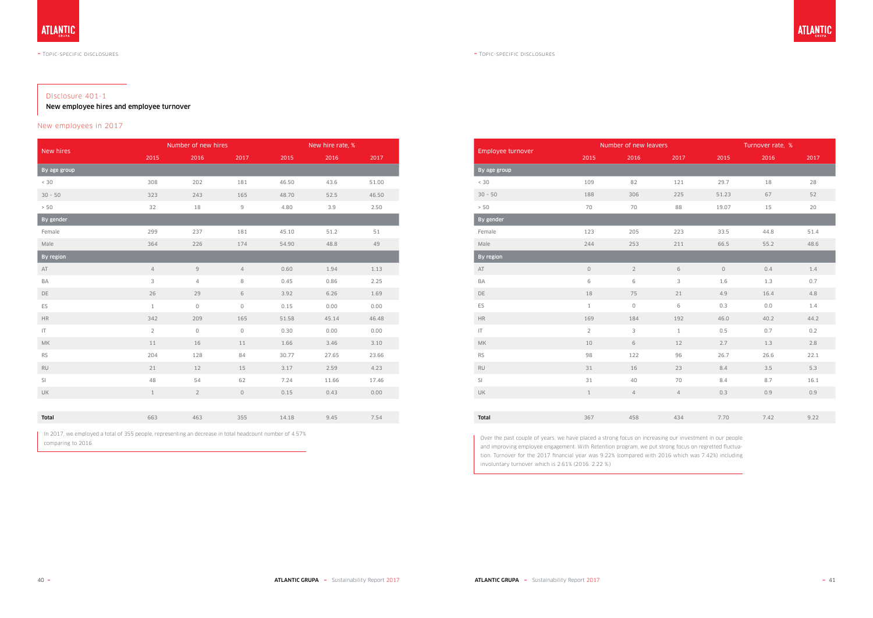#### Disclosure 401-1

New employee hires and employee turnover

#### New employees in 2017

| New hires     |                | Number of new hires |                | New hire rate, % |       |       |  |
|---------------|----------------|---------------------|----------------|------------------|-------|-------|--|
|               | 2015           | 2016                | 2017           | 2015             | 2016  | 2017  |  |
| By age group  |                |                     |                |                  |       |       |  |
| $< 30$        | 308            | 202                 | 181            | 46.50            | 43.6  | 51.00 |  |
| $30 - 50$     | 323            | 243                 | 165            | 48.70            | 52.5  | 46.50 |  |
| > 50          | 32             | 18                  | $\mathsf g$    | 4.80             | 3.9   | 2.50  |  |
| By gender     |                |                     |                |                  |       |       |  |
| Female        | 299            | 237                 | 181            | 45.10            | 51.2  | 51    |  |
| Male          | 364            | 226                 | 174            | 54.90            | 48.8  | 49    |  |
| By region     |                |                     |                |                  |       |       |  |
| AT            | $\overline{4}$ | $\overline{9}$      | $\overline{4}$ | 0.60             | 1.94  | 1.13  |  |
| BA            | $\mathsf{3}$   | $\overline{4}$      | 8              | 0.45             | 0.86  | 2.25  |  |
| DE            | 26             | 29                  | 6              | 3.92             | 6.26  | 1.69  |  |
| ES            | $\mathbf{1}$   | $\circledcirc$      | 0              | 0.15             | 0.00  | 0.00  |  |
| $\rm{HR}$     | 342            | 209                 | 165            | 51.58            | 45.14 | 46.48 |  |
| IT            | $\overline{2}$ | $\circ$             | $\mathsf{O}$   | 0.30             | 0.00  | 0.00  |  |
| <b>MK</b>     | 11             | 16                  | 11             | 1.66             | 3.46  | 3.10  |  |
| RS            | 204            | 128                 | 84             | 30.77            | 27.65 | 23.66 |  |
| $\mathsf{RU}$ | 21             | 12                  | 15             | 3.17             | 2.59  | 4.23  |  |
| SI            | 48             | 54                  | 62             | 7.24             | 11.66 | 17.46 |  |
| UK            | $\mathbf{1}$   | $\overline{2}$      | $\mathsf O$    | 0.15             | 0.43  | 0.00  |  |
|               |                |                     |                |                  |       |       |  |
| Total         | 663            | 463                 | 355            | 14.18            | 9.45  | 7.54  |  |

In 2017, we employed a total of 355 people, representing an decrease in total headcount number of 4.57% comparing to 2016.

| Employee turnover      |                | Number of new leavers |                |                | Turnover rate, % |      |  |
|------------------------|----------------|-----------------------|----------------|----------------|------------------|------|--|
|                        | 2015           | 2016                  | 2017           | 2015           | 2016             | 2017 |  |
| By age group           |                |                       |                |                |                  |      |  |
| < 30                   | 109            | 82                    | 121            | 29.7           | 18               | 28   |  |
| $30 - 50$              | 188            | 306                   | 225            | 51.23          | 67               | 52   |  |
| > 50                   | 70             | 70                    | 88             | 19.07          | 15               | 20   |  |
| By gender              |                |                       |                |                |                  |      |  |
| Female                 | 123            | 205                   | 223            | 33.5           | 44.8             | 51.4 |  |
| Male                   | 244            | 253                   | 211            | 66.5           | 55.2             | 48.6 |  |
| By region              |                |                       |                |                |                  |      |  |
| AT                     | $\mathsf O$    | $\overline{2}$        | 6              | $\circledcirc$ | 0.4              | 1.4  |  |
| BA                     | 6              | $\,$ 6 $\,$           | $\mathsf 3$    | 1.6            | 1.3              | 0.7  |  |
| DE                     | $18\,$         | 75                    | 21             | 4.9            | 16.4             | 4.8  |  |
| ES                     | $1\,$          | $\mathsf O$           | $\,$ $\,$ $\,$ | 0.3            | $0.0$            | 1.4  |  |
| <b>HR</b>              | 169            | 184                   | 192            | 46.0           | 40.2             | 44.2 |  |
| $\mathsf{I}\mathsf{T}$ | $\overline{2}$ | 3                     | $1\,$          | 0.5            | 0.7              | 0.2  |  |
| MK                     | 10             | $\,$ 6 $\,$           | 12             | 2.7            | 1.3              | 2.8  |  |
| <b>RS</b>              | 98             | 122                   | 96             | 26.7           | 26.6             | 22.1 |  |
| <b>RU</b>              | 31             | 16                    | 23             | 8.4            | 3.5              | 5.3  |  |
| SI                     | 31             | 40                    | 70             | 8.4            | 8.7              | 16.1 |  |
| UK                     | $\,1$          | $\overline{4}$        | $\overline{4}$ | 0.3            | 0.9              | 0.9  |  |
|                        |                |                       |                |                |                  |      |  |
| Total                  | 367            | 458                   | 434            | 7.70           | 7.42             | 9.22 |  |

Over the past couple of years, we have placed a strong focus on increasing our investment in our people and improving employee engagement. With Retention program, we put strong focus on regretted fluctuation. Turnover for the 2017 financial year was 9.22% (compared with 2016 which was 7.42%) including involuntary turnover which is 2.61% (2016. 2.22 %.)

## **ATLANTIC**

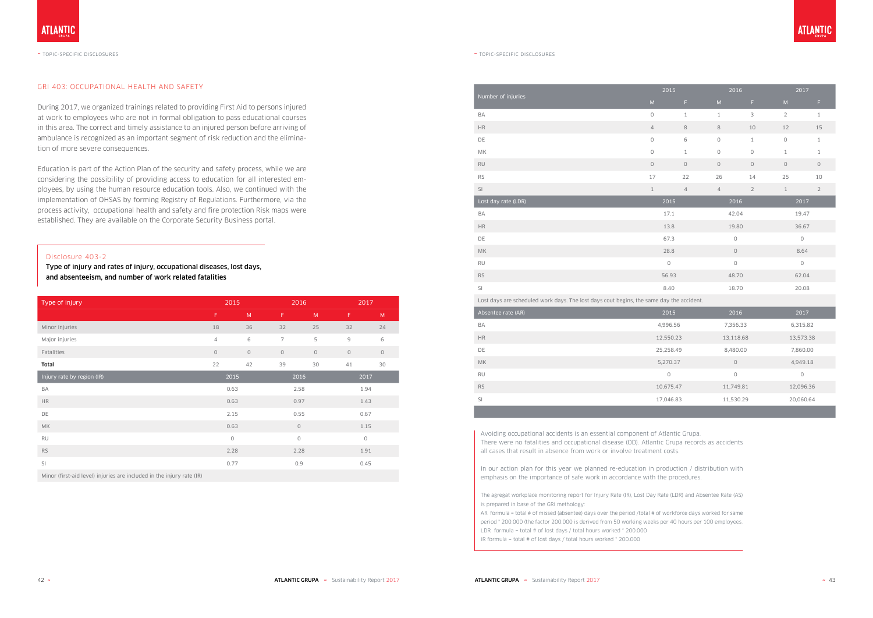#### GRI 403: OCCUPATIONAL HEALTH AND SAFETY

During 2017, we organized trainings related to providing First Aid to persons injured at work to employees who are not in formal obligation to pass educational courses in this area. The correct and timely assistance to an injured person before arriving of ambulance is recognized as an important segment of risk reduction and the elimination of more severe consequences.

Education is part of the Action Plan of the security and safety process, while we are considering the possibility of providing access to education for all interested employees, by using the human resource education tools. Also, we continued with the implementation of OHSAS by forming Registry of Regulations. Furthermore, via the process activity, occupational health and safety and fire protection Risk maps were established. They are available on the Corporate Security Business portal.

#### Disclosure 403-2

Type of injury and rates of injury, occupational diseases, lost days, and absenteeism, and number of work related fatalities

| Type of injury                                                        | 2015    |         | 2016           |         | 2017          |         |
|-----------------------------------------------------------------------|---------|---------|----------------|---------|---------------|---------|
|                                                                       | F       | M       | F              | M       | F             | M       |
| Minor injuries                                                        | 18      | 36      | 32             | 25      | 32            | 24      |
| Major injuries                                                        | 4       | 6       | $\overline{7}$ | 5       | $\mathcal{G}$ | 6       |
| Fatalities                                                            | $\circ$ | $\circ$ | $\circ$        | $\circ$ | $\circ$       | $\circ$ |
| Total                                                                 | 22      | 42      | 39             | 30      | 41            | 30      |
| Injury rate by region (IR)                                            | 2015    |         |                | 2016    |               | 2017    |
| BA                                                                    |         | 0.63    |                | 2.58    |               | 1.94    |
| <b>HR</b>                                                             |         | 0.63    | 0.97           |         |               | 1.43    |
| DE                                                                    | 2.15    |         | 0.55           |         |               | 0.67    |
| <b>MK</b>                                                             | 0.63    |         | $\mathsf{O}$   |         |               | 1.15    |
| <b>RU</b>                                                             | $\circ$ |         | $\mathsf{O}$   |         | $\circ$       |         |
| <b>RS</b>                                                             | 2.28    |         | 2.28           |         |               | 1.91    |
| SI                                                                    | 0.77    |         | 0.9            |         | 0.45          |         |
| Minor (first-aid level) injuries are included in the injury rate (IR) |         |         |                |         |               |         |

|                                                                                          | 2015         |                |                                                                                                            | 2016           |                | 2017           |  |
|------------------------------------------------------------------------------------------|--------------|----------------|------------------------------------------------------------------------------------------------------------|----------------|----------------|----------------|--|
| Number of injuries                                                                       | M            | F.             | $\mathsf{M}% _{T}=\mathsf{M}_{T}\!\left( a,b\right) ,\ \mathsf{M}_{T}=\mathsf{M}_{T}\!\left( a,b\right) ,$ | F              | $\sf M$        | F.             |  |
| BA                                                                                       | $\mathsf{O}$ | $\mathbf{1}$   | $\mathbf{1}$                                                                                               | 3              | $\overline{2}$ | $1\,$          |  |
| $\rm{HR}$                                                                                | $\sqrt{4}$   | $\,8\,$        | $\,8\,$                                                                                                    | $10$           | 12             | $15\,$         |  |
| DE                                                                                       | $\mathsf O$  | 6              | $\mathsf O$                                                                                                | $\mathbf{1}$   | $\mathsf{O}$   | $\,1\,$        |  |
| МK                                                                                       | $\mathsf{O}$ | $\mathbf{1}$   | $\circ$                                                                                                    | $\circ$        | $1\,$          | $\,1\,$        |  |
| $\mathsf{RU}$                                                                            | $\circ$      | $\circ$        | $\mathsf O$                                                                                                | $\circ$        | $\mathbb O$    | $\mathsf O$    |  |
| <b>RS</b>                                                                                | 17           | 22             | 26                                                                                                         | 14             | 25             | $10$           |  |
| SI                                                                                       | $\mathbf{1}$ | $\overline{4}$ | $\overline{4}$                                                                                             | $\overline{2}$ | $\mathbf{1}$   | $\overline{2}$ |  |
| Lost day rate (LDR)                                                                      | 2015         |                |                                                                                                            | 2016           |                | 2017           |  |
| BA                                                                                       |              | 17.1           |                                                                                                            | 42.04          |                | 19.47          |  |
| $\mathsf{HR}$                                                                            |              | 13.8           |                                                                                                            | 19.80          |                | 36.67          |  |
| DE                                                                                       |              | 67.3           |                                                                                                            | $\mathbb O$    |                | $\mathsf O$    |  |
| МK                                                                                       | 28.8         |                | $\mathsf{O}$                                                                                               |                | 8.64           |                |  |
| RU                                                                                       | $\mathsf{O}$ |                | $\mathsf{O}$                                                                                               |                |                | $\circ$        |  |
| $\mathsf{RS}$                                                                            | 56.93        |                | 48.70                                                                                                      |                | 62.04          |                |  |
| SI                                                                                       | 8.40         |                |                                                                                                            | 18.70          |                | 20.08          |  |
| Lost days are scheduled work days. The lost days cout begins, the same day the accident. |              |                |                                                                                                            |                |                |                |  |
| Absentee rate (AR)                                                                       | 2015         |                |                                                                                                            | 2016           |                | 2017           |  |
| BA                                                                                       | 4,996.56     |                |                                                                                                            | 7,356.33       |                | 6,315.82       |  |
| $\mathsf{HR}$                                                                            | 12,550.23    |                |                                                                                                            | 13,118.68      |                | 13,573.38      |  |
| DE                                                                                       | 25,258.49    |                |                                                                                                            | 8,480.00       |                | 7,860.00       |  |
| <b>MK</b>                                                                                | 5,270.37     |                |                                                                                                            | $\mathsf O$    |                | 4,949.18       |  |
| RU                                                                                       | $\mathsf O$  |                |                                                                                                            | $\mathsf O$    |                | $\mathsf{O}$   |  |
| <b>RS</b>                                                                                | 10,675.47    |                |                                                                                                            | 11,749.81      |                | 12,096.36      |  |
| SI                                                                                       | 17,046.83    |                |                                                                                                            | 11,530.29      | 20,060.64      |                |  |

Avoiding occupational accidents is an essential component of Atlantic Grupa. There were no fatalities and occupational disease (OD). Atlantic Grupa records as accidents all cases that result in absence from work or involve treatment costs.

In our action plan for this year we planned re-education in production / distribution with emphasis on the importance of safe work in accordance with the procedures.

The agregat workplace monitoring report for Injury Rate (IR), Lost Day Rate (LDR) and Absentee Rate (AS) is prepared in base of the GRI methology:

AR formula = total # of missed (absentee) days over the period /total # of workforce days worked for same period \* 200.000 (the factor 200.000 is derived from 50 working weeks per 40 hours per 100 employees. LDR formula = total # of lost days / total hours worked \* 200.000 IR formula = total # of lost days / total hours worked \* 200.000

### **ATLANTIO**

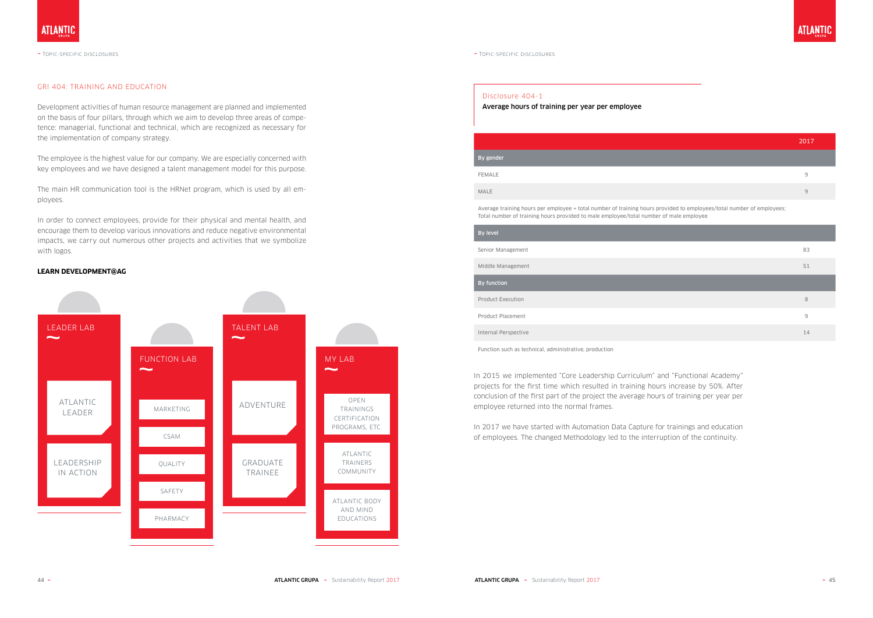#### GRI 404: TRAINING AND EDUCATION

Development activities of human resource management are planned and implemented on the basis of four pillars, through which we aim to develop three areas of competence: managerial, functional and technical, which are recognized as necessary for the implementation of company strategy.

The employee is the highest value for our company. We are especially concerned with key employees and we have designed a talent management model for this purpose.

The main HR communication tool is the HRNet program, which is used by all employees.

In order to connect employees, provide for their physical and mental health, and encourage them to develop various innovations and reduce negative environmental impacts, we carry out numerous other projects and activities that we symbolize with logos.

#### **LEARN DEVELOPMENT@AG**



#### Disclosure 404-1

#### Average hours of training per year per employee

|                                                                                                                                                                                                                 | 2017 |
|-----------------------------------------------------------------------------------------------------------------------------------------------------------------------------------------------------------------|------|
| By gender                                                                                                                                                                                                       |      |
| <b>FEMALE</b>                                                                                                                                                                                                   | 9    |
| <b>MALE</b>                                                                                                                                                                                                     | 9    |
| Average training hours per employee = total number of training hours provided to employees/total number of employees;<br>Total number of training hours provided to male employee/total number of male employee |      |
| By level                                                                                                                                                                                                        |      |
| Senior Management                                                                                                                                                                                               | 83   |
|                                                                                                                                                                                                                 |      |

Middle Management

By function

Product Execution

Product Placement

Internal Perspective

Function such as technical, administrative, production

In 2015 we implemented "Core Leadership Curriculum" and "Functional Academy" projects for the first time which resulted in training hours increase by 50%. After conclusion of the first part of the project the average hours of training per year per employee returned into the normal frames.

In 2017 we have started with Automation Data Capture for trainings and education of employees. The changed Methodology led to the interruption of the continuity.



| 83             |
|----------------|
| 51             |
|                |
| 8              |
| $\overline{9}$ |
| 14             |

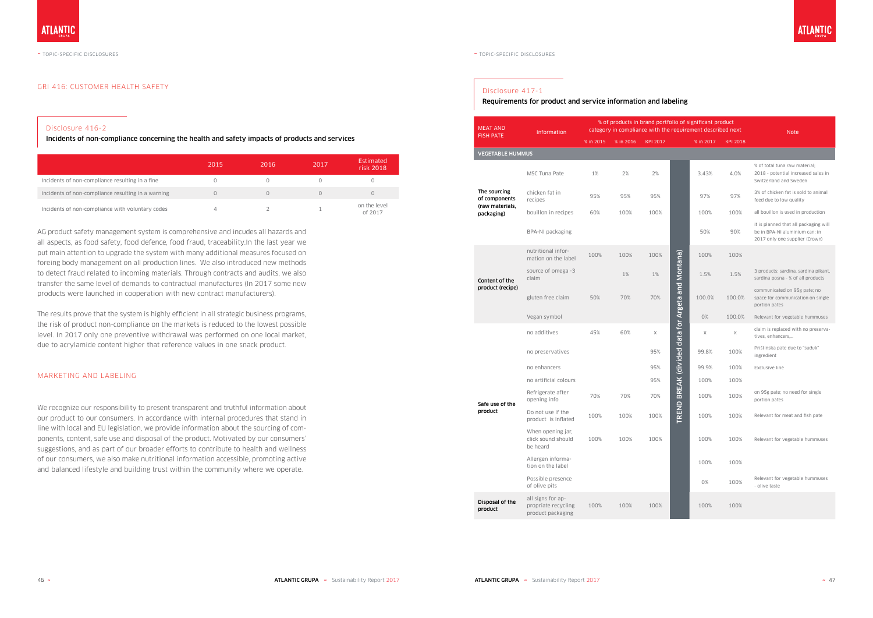#### GRI 416: CUSTOMER HEALTH SAFETY

#### MARKETING AND LABELING

### Disclosure 416-2

Incidents of non-compliance concerning the health and safety impacts of products and services

|                                                    | 2015 | 2016               | 2017 | Estimated<br>risk 2018  |
|----------------------------------------------------|------|--------------------|------|-------------------------|
| Incidents of non-compliance resulting in a fine    |      |                    |      |                         |
| Incidents of non-compliance resulting in a warning |      | $\left( \ \right)$ |      |                         |
| Incidents of non-compliance with voluntary codes   |      |                    |      | on the level<br>of 2017 |

AG product safety management system is comprehensive and incudes all hazards and all aspects, as food safety, food defence, food fraud, traceability.In the last year we put main attention to upgrade the system with many additional measures focused on foreing body management on all production lines. We also introduced new methods to detect fraud related to incoming materials. Through contracts and audits, we also transfer the same level of demands to contractual manufactures (In 2017 some new products were launched in cooperation with new contract manufacturers).

The results prove that the system is highly efficient in all strategic business programs, the risk of product non-compliance on the markets is reduced to the lowest possible level. In 2017 only one preventive withdrawal was performed on one local market, due to acrylamide content higher that reference values in one snack product.

We recognize our responsibility to present transparent and truthful information about our product to our consumers. In accordance with internal procedures that stand in line with local and EU legislation, we provide information about the sourcing of components, content, safe use and disposal of the product. Motivated by our consumers' suggestions, and as part of our broader efforts to contribute to health and wellness of our consumers, we also make nutritional information accessible, promoting active and balanced lifestyle and building trust within the community where we operate.

#### Disclosure 417-1

#### Requirements for product and service information and labeling

| <b>MEAT AND</b>                                  | <b>Information</b>                                            |           |           |                 |                                       | % of products in brand portfolio of significant product<br>category in compliance with the requirement described next |                 | <b>Note</b>                                                                                               |
|--------------------------------------------------|---------------------------------------------------------------|-----------|-----------|-----------------|---------------------------------------|-----------------------------------------------------------------------------------------------------------------------|-----------------|-----------------------------------------------------------------------------------------------------------|
| <b>FISH PATE</b>                                 |                                                               | % in 2015 | % in 2016 | <b>KPI 2017</b> |                                       | % in 2017                                                                                                             | <b>KPI 2018</b> |                                                                                                           |
| <b>VEGETABLE HUMMUS</b>                          |                                                               |           |           |                 |                                       |                                                                                                                       |                 |                                                                                                           |
|                                                  | MSC Tuna Pate                                                 | 1%        | 2%        | 2%              |                                       | 3.43%                                                                                                                 | 4.0%            | % of total tuna raw material:<br>2018 - potential increased sales in<br>Switzerland and Sweden            |
| The sourcing<br>of components<br>(raw materials, | chicken fat in<br>recipes                                     | 95%       | 95%       | 95%             |                                       | 97%                                                                                                                   | 97%             | 3% of chicken fat is sold to animal<br>feed due to low quality                                            |
| packaging)                                       | bouillon in recipes                                           | 60%       | 100%      | 100%            |                                       | 100%                                                                                                                  | 100%            | all bouillon is used in production                                                                        |
|                                                  | BPA-NI packaging                                              |           |           |                 |                                       | 50%                                                                                                                   | 90%             | it is planned that all packaging will<br>be in BPA-NI aluminium can; in<br>2017 only one supplier (Crown) |
|                                                  | nutritional infor-<br>mation on the label                     | 100%      | 100%      | 100%            |                                       | 100%                                                                                                                  | 100%            |                                                                                                           |
| Content of the                                   | source of omega -3<br>claim                                   |           | 1%        | 1%              | and Montana)                          | 1.5%                                                                                                                  | 1.5%            | 3 products: sardina, sardina pikant,<br>sardina posna - % of all products                                 |
| product (recipe)                                 | gluten free claim                                             | 50%       | 70%       | 70%             |                                       | 100.0%                                                                                                                | 100.0%          | communicated on 95g pate; no<br>space for communication on single<br>portion pates                        |
|                                                  | Vegan symbol                                                  |           |           |                 |                                       | 0%                                                                                                                    | 100.0%          | Relevant for vegetable hummuses                                                                           |
|                                                  | no additives                                                  | 45%       | 60%       | X               | <b>BREAK (divided data for Argeta</b> | X                                                                                                                     | X               | claim is replaced with no preserva-<br>tives, enhancers,                                                  |
|                                                  | no preservatives                                              |           |           | 95%             |                                       | 99.8%                                                                                                                 | 100%            | Prištinska pate due to "suduk"<br>ingredient                                                              |
|                                                  | no enhancers                                                  |           |           | 95%             |                                       | 99.9%                                                                                                                 | 100%            | Exclusive line                                                                                            |
|                                                  | no artificial colours                                         |           |           | 95%             |                                       | 100%                                                                                                                  | 100%            |                                                                                                           |
| Safe use of the                                  | Refrigerate after<br>opening info                             | 70%       | 70%       | 70%             |                                       | 100%                                                                                                                  | 100%            | on 95g pate; no need for single<br>portion pates                                                          |
| product                                          | Do not use if the<br>product is inflated                      | 100%      | 100%      | 100%            | TREND                                 | 100%                                                                                                                  | 100%            | Relevant for meat and fish pate                                                                           |
|                                                  | When opening jar,<br>click sound should<br>be heard           | 100%      | 100%      | 100%            |                                       | 100%                                                                                                                  | 100%            | Relevant for vegetable hummuses                                                                           |
|                                                  | Allergen informa-<br>tion on the label                        |           |           |                 |                                       | 100%                                                                                                                  | 100%            |                                                                                                           |
|                                                  | Possible presence<br>of olive pits                            |           |           |                 |                                       | 0%                                                                                                                    | 100%            | Relevant for vegetable hummuses<br>- olive taste                                                          |
| Disposal of the<br>product                       | all signs for ap-<br>propriate recycling<br>product packaging | 100%      | 100%      | 100%            |                                       | 100%                                                                                                                  | 100%            |                                                                                                           |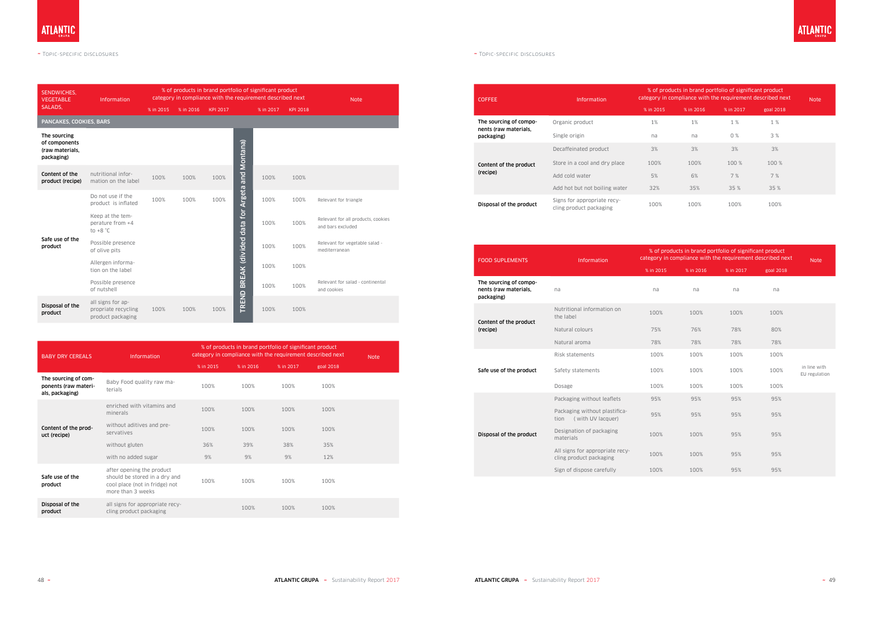| <b>SENDWICHES.</b><br><b>VEGETABLE</b>                          | % of products in brand portfolio of significant product<br>category in compliance with the requirement described next<br><b>Information</b> |                                                                                              |           |                 |                                      |           |                                                         | <b>Note</b>                                                |
|-----------------------------------------------------------------|---------------------------------------------------------------------------------------------------------------------------------------------|----------------------------------------------------------------------------------------------|-----------|-----------------|--------------------------------------|-----------|---------------------------------------------------------|------------------------------------------------------------|
| SALADS,                                                         |                                                                                                                                             | % in 2015                                                                                    | % in 2016 | <b>KPI 2017</b> |                                      | % in 2017 | <b>KPI 2018</b>                                         |                                                            |
| PANCAKES, COOKIES, BARS                                         |                                                                                                                                             |                                                                                              |           |                 |                                      |           |                                                         |                                                            |
| The sourcing<br>of components<br>(raw materials,<br>packaging)  |                                                                                                                                             |                                                                                              |           |                 | and Montana)                         |           |                                                         |                                                            |
| Content of the<br>product (recipe)                              | nutritional infor-<br>mation on the label                                                                                                   | 100%                                                                                         | 100%      | 100%            |                                      | 100%      | 100%                                                    |                                                            |
|                                                                 | Do not use if the<br>product is inflated                                                                                                    | 100%                                                                                         | 100%      | 100%            |                                      | 100%      | 100%                                                    | Relevant for triangle                                      |
|                                                                 | Keep at the tem-<br>perature from +4<br>to $+8 °C$                                                                                          |                                                                                              |           |                 | TREND BREAK (divided data for Argeta | 100%      | 100%                                                    | Relevant for all products, cookies<br>and bars excluded    |
| Safe use of the<br>product                                      | Possible presence<br>of olive pits                                                                                                          |                                                                                              |           |                 |                                      | 100%      | 100%                                                    | Relevant for vegetable salad -<br>mediterranean            |
|                                                                 | Allergen informa-<br>tion on the label                                                                                                      |                                                                                              |           |                 |                                      | 100%      | 100%                                                    |                                                            |
|                                                                 | Possible presence<br>of nutshell                                                                                                            |                                                                                              |           |                 |                                      | 100%      | 100%                                                    | Relevant for salad - continental<br>and cookies            |
| Disposal of the<br>product                                      | all signs for ap-<br>propriate recycling<br>product packaging                                                                               | 100%                                                                                         | 100%      | 100%            |                                      | 100%      | 100%                                                    |                                                            |
|                                                                 |                                                                                                                                             |                                                                                              |           |                 |                                      |           |                                                         |                                                            |
|                                                                 |                                                                                                                                             |                                                                                              |           |                 |                                      |           | % of products in brand portfolio of significant product | category in compliance with the requirement described next |
| <b>BABY DRY CEREALS</b>                                         |                                                                                                                                             | Information                                                                                  |           | % in 2015       | % in 2016                            |           | % in 2017                                               | <b>Note</b><br>goal 2018                                   |
| The sourcing of com-<br>ponents (raw materi-<br>als, packaging) | terials                                                                                                                                     | Baby Food quality raw ma-                                                                    |           | 100%            | 100%                                 |           | 100%                                                    | 100%                                                       |
|                                                                 | minerals                                                                                                                                    | enriched with vitamins and                                                                   |           | 100%            | 100%                                 |           | 100%                                                    | 100%                                                       |
| Content of the prod-<br>uct (recipe)                            | servatives                                                                                                                                  | without aditives and pre-                                                                    |           | 100%            | 100%                                 |           | 100%                                                    | 100%                                                       |
|                                                                 | without gluten                                                                                                                              |                                                                                              |           | 36%             | 39%                                  |           | 38%                                                     | 35%                                                        |
|                                                                 | with no added sugar                                                                                                                         |                                                                                              |           | 9%              | 9%                                   |           | 9%                                                      | 12%                                                        |
| Safe use of the<br>product                                      | more than 3 weeks                                                                                                                           | after opening the product<br>should be stored in a dry and<br>cool place (not in fridge) not |           | 100%            | 100%                                 |           | 100%                                                    | 100%                                                       |
| Disposal of the<br>product                                      | cling product packaging                                                                                                                     | all signs for appropriate recy-                                                              |           |                 | 100%                                 |           | 100%                                                    | 100%                                                       |

| <b>BABY DRY CEREALS</b>                                         | <b>Information</b>                                                                                                | % of products in brand portfolio of significant product<br>category in compliance with the requirement described next | <b>Note</b> |           |           |  |
|-----------------------------------------------------------------|-------------------------------------------------------------------------------------------------------------------|-----------------------------------------------------------------------------------------------------------------------|-------------|-----------|-----------|--|
|                                                                 |                                                                                                                   | % in 2015                                                                                                             | % in 2016   | % in 2017 | goal 2018 |  |
| The sourcing of com-<br>ponents (raw materi-<br>als, packaging) | Baby Food quality raw ma-<br>terials                                                                              | 100%                                                                                                                  | 100%        | 100%      | 100%      |  |
| Content of the prod-<br>uct (recipe)                            | enriched with vitamins and<br>minerals                                                                            | 100%                                                                                                                  | 100%        | 100%      | 100%      |  |
|                                                                 | without aditives and pre-<br>servatives                                                                           | 100%                                                                                                                  | 100%        | 100%      | 100%      |  |
|                                                                 | without gluten                                                                                                    | 36%                                                                                                                   | 39%         | 38%       | 35%       |  |
|                                                                 | with no added sugar                                                                                               | 9%                                                                                                                    | 9%          | 9%        | 12%       |  |
| Safe use of the<br>product                                      | after opening the product<br>should be stored in a dry and<br>cool place (not in fridge) not<br>more than 3 weeks | 100%                                                                                                                  | 100%        | 100%      | 100%      |  |
| Disposal of the<br>product                                      | all signs for appropriate recy-<br>cling product packaging                                                        |                                                                                                                       | 100%        | 100%      | 100%      |  |

| <b>COFFEE</b>                                   | <b>Information</b>                                     | % of products in brand portfolio of significant product<br>category in compliance with the requirement described next | <b>Note</b> |           |           |  |
|-------------------------------------------------|--------------------------------------------------------|-----------------------------------------------------------------------------------------------------------------------|-------------|-----------|-----------|--|
|                                                 |                                                        | % in 2015                                                                                                             | % in 2016   | % in 2017 | goal 2018 |  |
| The sourcing of compo-                          | Organic product                                        | $1\%$                                                                                                                 | 1%          | 1 %       | 1 %       |  |
| packaging)                                      | Single origin                                          | na                                                                                                                    | na          | 0%        | 3 %       |  |
|                                                 | Decaffeinated product                                  | 3%                                                                                                                    | 3%          | 3%        | 3%        |  |
| nents (raw materials,<br>Content of the product | Store in a cool and dry place                          | 100%                                                                                                                  | 100%        | 100 %     | 100 %     |  |
| (recipe)                                        | Add cold water                                         | 5%                                                                                                                    | 6%          | 7%        | 7%        |  |
|                                                 | Add hot but not boiling water                          | 32%                                                                                                                   | 35%         | 35 %      | 35 %      |  |
| Disposal of the product                         | Signs for appropriate recy-<br>cling product packaging | 100%                                                                                                                  | 100%        | 100%      | 100%      |  |

| <b>FOOD SUPLEMENTS</b>                                        | <b>Information</b>                                         | % of products in brand portfolio of significant product<br>category in compliance with the requirement described next | <b>Note</b> |           |           |                               |
|---------------------------------------------------------------|------------------------------------------------------------|-----------------------------------------------------------------------------------------------------------------------|-------------|-----------|-----------|-------------------------------|
|                                                               |                                                            | % in 2015                                                                                                             | % in 2016   | % in 2017 | goal 2018 |                               |
| The sourcing of compo-<br>nents (raw materials,<br>packaging) | na                                                         | na                                                                                                                    | na          | na        | na        |                               |
| Content of the product                                        | Nutritional information on<br>the label                    | 100%                                                                                                                  | 100%        | 100%      | 100%      |                               |
| (recipe)                                                      | Natural colours                                            | 75%                                                                                                                   | 76%         | 78%       | 80%       |                               |
|                                                               | Natural aroma                                              | 78%                                                                                                                   | 78%         | 78%       | 78%       |                               |
|                                                               | Risk statements                                            | 100%                                                                                                                  | 100%        | 100%      | 100%      |                               |
| Safe use of the product                                       | Safety statements                                          | 100%                                                                                                                  | 100%        | 100%      | 100%      | in line with<br>EU regulation |
|                                                               | Dosage                                                     | 100%                                                                                                                  | 100%        | 100%      | 100%      |                               |
|                                                               | Packaging without leaflets                                 | 95%                                                                                                                   | 95%         | 95%       | 95%       |                               |
|                                                               | Packaging without plastifica-<br>(with UV lacquer)<br>tion | 95%                                                                                                                   | 95%         | 95%       | 95%       |                               |
| Disposal of the product                                       | Designation of packaging<br>materials                      | 100%                                                                                                                  | 100%        | 95%       | 95%       |                               |
|                                                               | All signs for appropriate recy-<br>cling product packaging | 100%                                                                                                                  | 100%        | 95%       | 95%       |                               |
|                                                               | Sign of dispose carefully                                  | 100%                                                                                                                  | 100%        | 95%       | 95%       |                               |

**ATLANTIC** 

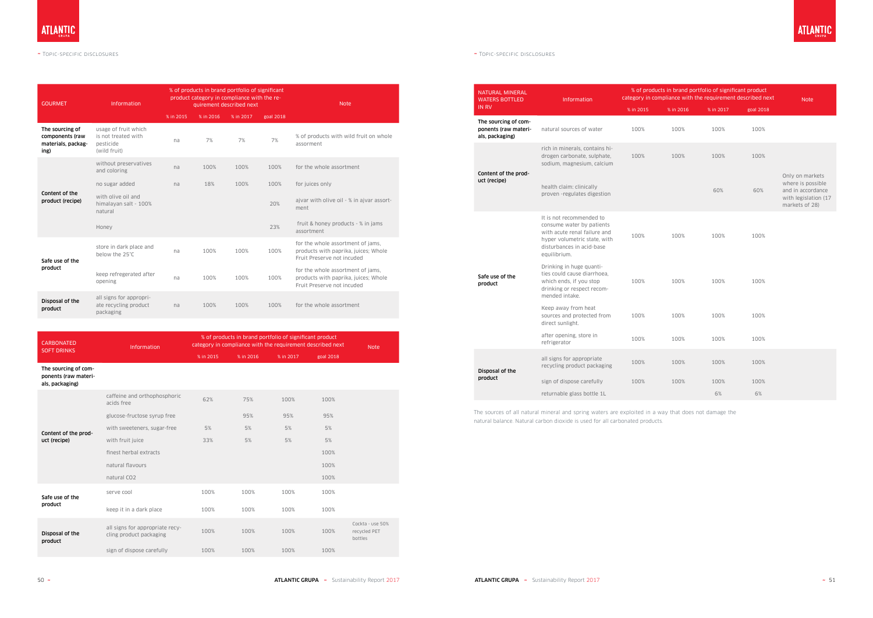| <b>GOURMET</b>                                                   | Information                                                              |           | % of products in brand portfolio of significant<br>product category in compliance with the re-<br>quirement described next |           | <b>Note</b> |                                                                                                         |
|------------------------------------------------------------------|--------------------------------------------------------------------------|-----------|----------------------------------------------------------------------------------------------------------------------------|-----------|-------------|---------------------------------------------------------------------------------------------------------|
|                                                                  |                                                                          | % in 2015 | % in 2016                                                                                                                  | % in 2017 | goal 2018   |                                                                                                         |
| The sourcing of<br>components (raw<br>materials, packag-<br>ing) | usage of fruit which<br>is not treated with<br>pesticide<br>(wild fruit) | na        | 7%                                                                                                                         | 7%        | 7%          | % of products with wild fruit on whole<br>assorment                                                     |
|                                                                  | without preservatives<br>and coloring                                    | na        | 100%                                                                                                                       | 100%      | 100%        | for the whole assortment                                                                                |
| Content of the<br>product (recipe)                               | no sugar added                                                           | na        | 18%                                                                                                                        | 100%      | 100%        | for juices only                                                                                         |
|                                                                  | with olive oil and<br>himalayan salt - 100%<br>natural                   |           |                                                                                                                            |           | 20%         | ajvar with olive oil - % in ajvar assort-<br>ment                                                       |
|                                                                  | Honey                                                                    |           |                                                                                                                            |           | 23%         | fruit & honey products - % in jams<br>assortment                                                        |
| Safe use of the                                                  | store in dark place and<br>below the 25°C                                | na        | 100%                                                                                                                       | 100%      | 100%        | for the whole assortment of jams,<br>products with paprika, juices; Whole<br>Fruit Preserve not incuded |
| product                                                          | keep refregerated after<br>opening                                       | na        | 100%                                                                                                                       | 100%      | 100%        | for the whole assortment of jams,<br>products with paprika, juices; Whole<br>Fruit Preserve not incuded |
| Disposal of the<br>product                                       | all signs for appropri-<br>ate recycling product<br>packaging            | na        | 100%                                                                                                                       | 100%      | 100%        | for the whole assortment                                                                                |

| <b>CARBONATED</b><br><b>SOFT DRINKS</b>                         | <b>Information</b>                                         |           | % of products in brand portfolio of significant product<br>category in compliance with the requirement described next |           |           |                                             |  |  |
|-----------------------------------------------------------------|------------------------------------------------------------|-----------|-----------------------------------------------------------------------------------------------------------------------|-----------|-----------|---------------------------------------------|--|--|
|                                                                 |                                                            | % in 2015 | % in 2016                                                                                                             | % in 2017 | goal 2018 |                                             |  |  |
| The sourcing of com-<br>ponents (raw materi-<br>als, packaging) |                                                            |           |                                                                                                                       |           |           |                                             |  |  |
| Content of the prod-<br>uct (recipe)                            | caffeine and orthophosphoric<br>acids free                 | 62%       | 75%                                                                                                                   | 100%      | 100%      |                                             |  |  |
|                                                                 | glucose-fructose syrup free                                |           | 95%                                                                                                                   | 95%       | 95%       |                                             |  |  |
|                                                                 | with sweeteners, sugar-free                                | 5%        | 5%                                                                                                                    | 5%        | 5%        |                                             |  |  |
|                                                                 | with fruit juice                                           | 33%       | 5%                                                                                                                    | 5%        | 5%        |                                             |  |  |
|                                                                 | finest herbal extracts                                     |           |                                                                                                                       |           | 100%      |                                             |  |  |
|                                                                 | natural flavours                                           |           |                                                                                                                       |           | 100%      |                                             |  |  |
|                                                                 | natural CO <sub>2</sub>                                    |           |                                                                                                                       |           | 100%      |                                             |  |  |
| Safe use of the                                                 | serve cool                                                 | 100%      | 100%                                                                                                                  | 100%      | 100%      |                                             |  |  |
| product                                                         | keep it in a dark place                                    | 100%      | 100%                                                                                                                  | 100%      | 100%      |                                             |  |  |
| Disposal of the<br>product                                      | all signs for appropriate recy-<br>cling product packaging | 100%      | 100%                                                                                                                  | 100%      | 100%      | Cockta - use 50%<br>recycled PET<br>bottles |  |  |
|                                                                 | sign of dispose carefully                                  | 100%      | 100%                                                                                                                  | 100%      | 100%      |                                             |  |  |

| <b>NATURAL MINERAL</b><br><b>WATERS BOTTLED</b>                 | <b>Information</b>                                                                                                                                                 |           |           | % of products in brand portfolio of significant product<br>category in compliance with the requirement described next |           | <b>Note</b>                                                                                         |
|-----------------------------------------------------------------|--------------------------------------------------------------------------------------------------------------------------------------------------------------------|-----------|-----------|-----------------------------------------------------------------------------------------------------------------------|-----------|-----------------------------------------------------------------------------------------------------|
| <b>IN RV</b>                                                    |                                                                                                                                                                    | % in 2015 | % in 2016 | % in 2017                                                                                                             | goal 2018 |                                                                                                     |
| The sourcing of com-<br>ponents (raw materi-<br>als, packaging) | natural sources of water                                                                                                                                           | 100%      | 100%      | 100%                                                                                                                  | 100%      |                                                                                                     |
|                                                                 | rich in minerals, contains hi-<br>drogen carbonate, sulphate,<br>sodium, magnesium, calcium                                                                        | 100%      | 100%      | 100%                                                                                                                  | 100%      |                                                                                                     |
| Content of the prod-<br>uct (recipe)                            | health claim: clinically<br>proven -regulates digestion                                                                                                            |           |           | 60%                                                                                                                   | 60%       | Only on markets<br>where is possible<br>and in accordance<br>with legislation (17<br>markets of 28) |
|                                                                 | It is not recommended to<br>consume water by patients<br>with acute renal failure and<br>hyper volumetric state, with<br>disturbances in acid-base<br>equilibrium. | 100%      | 100%      | 100%                                                                                                                  | 100%      |                                                                                                     |
| Safe use of the<br>product                                      | Drinking in huge quanti-<br>ties could cause diarrhoea.<br>which ends, if you stop<br>drinking or respect recom-<br>mended intake.                                 | 100%      | 100%      | 100%                                                                                                                  | 100%      |                                                                                                     |
|                                                                 | Keep away from heat<br>sources and protected from<br>direct sunlight.                                                                                              | 100%      | 100%      | 100%                                                                                                                  | 100%      |                                                                                                     |
|                                                                 | after opening, store in<br>refrigerator                                                                                                                            | 100%      | 100%      | 100%                                                                                                                  | 100%      |                                                                                                     |
| Disposal of the                                                 | all signs for appropriate<br>recycling product packaging                                                                                                           | 100%      | 100%      | 100%                                                                                                                  | 100%      |                                                                                                     |
| product                                                         | sign of dispose carefully                                                                                                                                          | 100%      | 100%      | 100%                                                                                                                  | 100%      |                                                                                                     |
|                                                                 | returnable glass bottle 1L                                                                                                                                         |           |           | 6%                                                                                                                    | 6%        |                                                                                                     |

The sources of all natural mineral and spring waters are exploited in a way that does not damage the natural balance. Natural carbon dioxide is used for all carbonated products.

**ATLANTIC**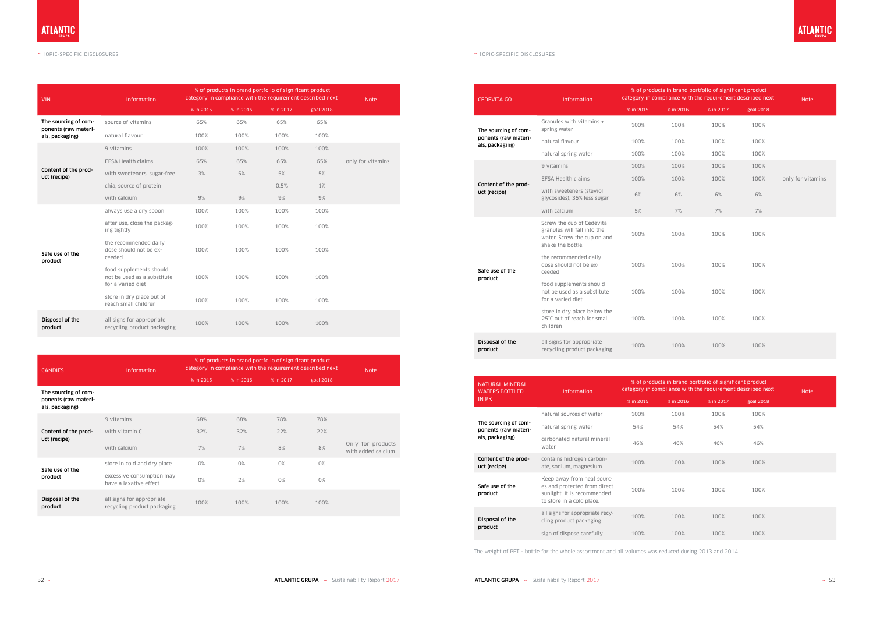| <b>VIN</b>                              | Information                                                                 |           | % of products in brand portfolio of significant product<br>category in compliance with the requirement described next |           |           |                   |  |  |
|-----------------------------------------|-----------------------------------------------------------------------------|-----------|-----------------------------------------------------------------------------------------------------------------------|-----------|-----------|-------------------|--|--|
|                                         |                                                                             | % in 2015 | % in 2016                                                                                                             | % in 2017 | goal 2018 |                   |  |  |
| The sourcing of com-                    | source of vitamins                                                          | 65%       | 65%                                                                                                                   | 65%       | 65%       |                   |  |  |
| ponents (raw materi-<br>als, packaging) | natural flavour                                                             | 100%      | 100%                                                                                                                  | 100%      | 100%      |                   |  |  |
|                                         | 9 vitamins                                                                  | 100%      | 100%                                                                                                                  | 100%      | 100%      |                   |  |  |
| Content of the prod-<br>uct (recipe)    | <b>EFSA Health claims</b>                                                   | 65%       | 65%                                                                                                                   | 65%       | 65%       | only for vitamins |  |  |
|                                         | with sweeteners, sugar-free                                                 | 3%        | 5%                                                                                                                    | 5%        | 5%        |                   |  |  |
|                                         | chia, source of protein                                                     |           |                                                                                                                       | 0.5%      | 1%        |                   |  |  |
|                                         | with calcium                                                                | 9%        | 9%                                                                                                                    | 9%        | 9%        |                   |  |  |
|                                         | always use a dry spoon                                                      | 100%      | 100%                                                                                                                  | 100%      | 100%      |                   |  |  |
|                                         | after use, close the packag-<br>ing tightly                                 | 100%      | 100%                                                                                                                  | 100%      | 100%      |                   |  |  |
| Safe use of the<br>product              | the recommended daily<br>dose should not be ex-<br>ceeded                   | 100%      | 100%                                                                                                                  | 100%      | 100%      |                   |  |  |
|                                         | food supplements should<br>not be used as a substitute<br>for a varied diet | 100%      | 100%                                                                                                                  | 100%      | 100%      |                   |  |  |
|                                         | store in dry place out of<br>reach small children                           | 100%      | 100%                                                                                                                  | 100%      | 100%      |                   |  |  |
| Disposal of the<br>product              | all signs for appropriate<br>recycling product packaging                    | 100%      | 100%                                                                                                                  | 100%      | 100%      |                   |  |  |

| <b>CANDIES</b>                                                  | Information                                              | % of products in brand portfolio of significant product<br>category in compliance with the requirement described next | <b>Note</b> |           |           |                                         |
|-----------------------------------------------------------------|----------------------------------------------------------|-----------------------------------------------------------------------------------------------------------------------|-------------|-----------|-----------|-----------------------------------------|
|                                                                 |                                                          | % in 2015                                                                                                             | % in 2016   | % in 2017 | goal 2018 |                                         |
| The sourcing of com-<br>ponents (raw materi-<br>als, packaging) |                                                          |                                                                                                                       |             |           |           |                                         |
|                                                                 | 9 vitamins                                               | 68%                                                                                                                   | 68%         | 78%       | 78%       |                                         |
| Content of the prod-                                            | with vitamin C                                           | 32%                                                                                                                   | 32%         | 22%       | 22%       |                                         |
| uct (recipe)                                                    | with calcium                                             | 7%                                                                                                                    | 7%          | 8%        | 8%        | Only for products<br>with added calcium |
| Safe use of the                                                 | store in cold and dry place                              | 0%                                                                                                                    | 0%          | 0%        | 0%        |                                         |
| product                                                         | excessive consumption may<br>have a laxative effect      | 0%                                                                                                                    | 2%          | 0%        | 0%        |                                         |
| Disposal of the<br>product                                      | all signs for appropriate<br>recycling product packaging | 100%                                                                                                                  | 100%        | 100%      | 100%      |                                         |

| <b>CEDEVITA GO</b>                      | Information                                                                                                  | % of products in brand portfolio of significant product<br>category in compliance with the requirement described next | <b>Note</b> |           |           |                   |
|-----------------------------------------|--------------------------------------------------------------------------------------------------------------|-----------------------------------------------------------------------------------------------------------------------|-------------|-----------|-----------|-------------------|
|                                         |                                                                                                              | % in 2015                                                                                                             | % in 2016   | % in 2017 | goal 2018 |                   |
| The sourcing of com-                    | Granules with vitamins +<br>spring water                                                                     | 100%                                                                                                                  | 100%        | 100%      | 100%      |                   |
| ponents (raw materi-<br>als, packaging) | natural flavour                                                                                              | 100%                                                                                                                  | 100%        | 100%      | 100%      |                   |
|                                         | natural spring water                                                                                         | 100%                                                                                                                  | 100%        | 100%      | 100%      |                   |
|                                         | 9 vitamins                                                                                                   | 100%                                                                                                                  | 100%        | 100%      | 100%      |                   |
| Content of the prod-                    | <b>EFSA Health claims</b>                                                                                    | 100%                                                                                                                  | 100%        | 100%      | 100%      | only for vitamins |
| uct (recipe)                            | with sweeteners (steviol<br>glycosides), 35% less sugar                                                      | 6%                                                                                                                    | 6%          | 6%        | 6%        |                   |
|                                         | with calcium                                                                                                 | 5%                                                                                                                    | 7%          | 7%        | 7%        |                   |
|                                         | Screw the cup of Cedevita<br>granules will fall into the<br>water. Screw the cup on and<br>shake the bottle. | 100%                                                                                                                  | 100%        | 100%      | 100%      |                   |
| Safe use of the                         | the recommended daily<br>dose should not be ex-<br>ceeded                                                    | 100%                                                                                                                  | 100%        | 100%      | 100%      |                   |
| product                                 | food supplements should<br>not be used as a substitute<br>for a varied diet                                  | 100%                                                                                                                  | 100%        | 100%      | 100%      |                   |
|                                         | store in dry place below the<br>25°C out of reach for small<br>children                                      | 100%                                                                                                                  | 100%        | 100%      | 100%      |                   |
| Disposal of the<br>product              | all signs for appropriate<br>recycling product packaging                                                     | 100%                                                                                                                  | 100%        | 100%      | 100%      |                   |

| <b>NATURAL MINERAL</b><br><b>WATERS BOTTLED</b> | <b>Information</b>                                                                                                     |           |           | % of products in brand portfolio of significant product<br>category in compliance with the requirement described next |           |  |
|-------------------------------------------------|------------------------------------------------------------------------------------------------------------------------|-----------|-----------|-----------------------------------------------------------------------------------------------------------------------|-----------|--|
| <b>IN PK</b>                                    |                                                                                                                        | % in 2015 | % in 2016 | % in 2017                                                                                                             | goal 2018 |  |
|                                                 | natural sources of water                                                                                               | 100%      | 100%      | 100%                                                                                                                  | 100%      |  |
| The sourcing of com-<br>ponents (raw materi-    | natural spring water                                                                                                   | 54%       | 54%       | 54%                                                                                                                   | 54%       |  |
| als, packaging)                                 | carbonated natural mineral<br>water                                                                                    | 46%       | 46%       | 46%                                                                                                                   | 46%       |  |
| Content of the prod-<br>uct (recipe)            | contains hidrogen carbon-<br>ate, sodium, magnesium                                                                    | 100%      | 100%      | 100%                                                                                                                  | 100%      |  |
| Safe use of the<br>product                      | Keep away from heat sourc-<br>es and protected from direct<br>sunlight. It is recommended<br>to store in a cold place. | 100%      | 100%      | 100%                                                                                                                  | 100%      |  |
| Disposal of the<br>product                      | all signs for appropriate recy-<br>cling product packaging                                                             | 100%      | 100%      | 100%                                                                                                                  | 100%      |  |
|                                                 | sign of dispose carefully                                                                                              | 100%      | 100%      | 100%                                                                                                                  | 100%      |  |

The weight of PET - bottle for the whole assortment and all volumes was reduced during 2013 and 2014

**ATLANTIC**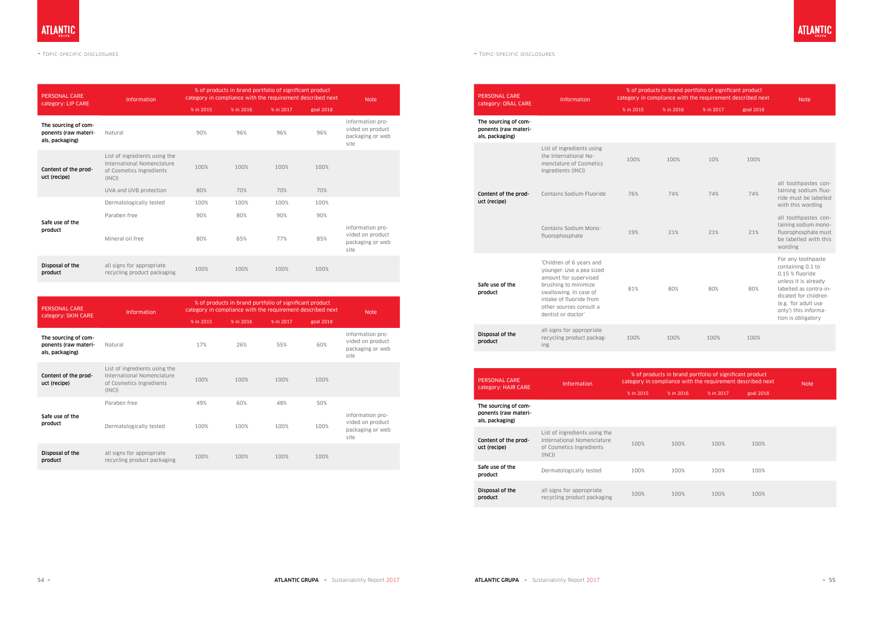#### $\sim$  Topic-specific disclosures  $\sim$  Topic-specific disclosures  $\sim$  Topic-specific disclosures  $\sim$  Topic-specific disclosures

| <b>PERSONAL CARE</b>                                            | <b>Information</b>                                                                                                          |             |             | % of products in brand portfolio of significant product<br>category in compliance with the requirement described next |             | <b>Note</b>                                                      |
|-----------------------------------------------------------------|-----------------------------------------------------------------------------------------------------------------------------|-------------|-------------|-----------------------------------------------------------------------------------------------------------------------|-------------|------------------------------------------------------------------|
| category: LIP CARE                                              |                                                                                                                             | % in 2015   | % in 2016   | % in 2017                                                                                                             | goal 2018   |                                                                  |
| The sourcing of com-<br>ponents (raw materi-<br>als, packaging) | Natural                                                                                                                     | 90%         | 96%         | 96%                                                                                                                   | 96%         | information pro-<br>vided on product<br>packaging or web<br>site |
| Content of the prod-<br>uct (recipe)                            | List of ingredients using the<br>International Nomenclature<br>of Cosmetics Ingredients<br>(INCI)<br>UVA and UVB protection | 100%<br>80% | 100%<br>70% | 100%<br>70%                                                                                                           | 100%<br>70% |                                                                  |
|                                                                 | Dermatologically tested                                                                                                     | 100%        | 100%        | 100%                                                                                                                  | 100%        |                                                                  |
| Safe use of the<br>product                                      | Paraben free                                                                                                                | 90%         | 80%         | 90%                                                                                                                   | 90%         |                                                                  |
|                                                                 | Mineral oil free                                                                                                            | 80%         | 65%         | 77%                                                                                                                   | 85%         | information pro-<br>vided on product<br>packaging or web<br>site |
| Disposal of the<br>product                                      | all signs for appropriate<br>recycling product packaging                                                                    | 100%        | 100%        | 100%                                                                                                                  | 100%        |                                                                  |

| <b>PERSONAL CARE</b><br>category: SKIN CARE                     | <b>Information</b>                                                                                |           |           | % of products in brand portfolio of significant product<br>category in compliance with the requirement described next |           | <b>Note</b>                                                      |
|-----------------------------------------------------------------|---------------------------------------------------------------------------------------------------|-----------|-----------|-----------------------------------------------------------------------------------------------------------------------|-----------|------------------------------------------------------------------|
|                                                                 |                                                                                                   | % in 2015 | % in 2016 | % in 2017                                                                                                             | goal 2018 |                                                                  |
| The sourcing of com-<br>ponents (raw materi-<br>als, packaging) | Natural                                                                                           | 17%       | 26%       | 55%                                                                                                                   | 60%       | information pro-<br>vided on product<br>packaging or web<br>site |
| Content of the prod-<br>uct (recipe)                            | List of ingredients using the<br>International Nomenclature<br>of Cosmetics Ingredients<br>(INCI) | 100%      | 100%      | 100%                                                                                                                  | 100%      |                                                                  |
|                                                                 | Paraben free                                                                                      | 49%       | 60%       | 48%                                                                                                                   | 50%       |                                                                  |
| Safe use of the<br>product                                      | Dermatologically tested                                                                           | 100%      | 100%      | 100%                                                                                                                  | 100%      | information pro-<br>vided on product<br>packaging or web<br>site |
| Disposal of the<br>product                                      | all signs for appropriate<br>recycling product packaging                                          | 100%      | 100%      | 100%                                                                                                                  | 100%      |                                                                  |

| <b>PERSONAL CARE</b>                                            | <b>Information</b>                                                                                                                                                                                          | category in compliance with the requirement described next | % of products in brand portfolio of significant product                                                               | <b>Note</b> |           |                                                                                                                                                                                                            |
|-----------------------------------------------------------------|-------------------------------------------------------------------------------------------------------------------------------------------------------------------------------------------------------------|------------------------------------------------------------|-----------------------------------------------------------------------------------------------------------------------|-------------|-----------|------------------------------------------------------------------------------------------------------------------------------------------------------------------------------------------------------------|
| category: ORAL CARE                                             |                                                                                                                                                                                                             | % in 2015                                                  | % in 2016                                                                                                             | % in 2017   | goal 2018 |                                                                                                                                                                                                            |
| The sourcing of com-<br>ponents (raw materi-<br>als, packaging) |                                                                                                                                                                                                             |                                                            |                                                                                                                       |             |           |                                                                                                                                                                                                            |
|                                                                 | List of ingredients using<br>the International No-<br>menclature of Cosmetics<br>Ingredients (INCI)                                                                                                         | 100%                                                       | 100%                                                                                                                  | 10%         | 100%      |                                                                                                                                                                                                            |
| Content of the prod-<br>uct (recipe)                            | Contains Sodium Fluoride                                                                                                                                                                                    | 76%                                                        | 74%                                                                                                                   | 74%         | 74%       | all toothpastes con-<br>taining sodium fluo-<br>ride must be labelled<br>with this wording                                                                                                                 |
|                                                                 | Contains Sodium Mono-<br>fluorophosphate                                                                                                                                                                    | 19%                                                        | 21%                                                                                                                   | 21%         | 21%       | all toothpastes con-<br>taining sodium mono-<br>fluorophosphate must<br>be labelled with this<br>wording                                                                                                   |
| Safe use of the<br>product                                      | 'Children of 6 years and<br>younger: Use a pea sized<br>amount for supervised<br>brushing to minimize<br>swallowing. In case of<br>intake of fluoride from<br>other sources consult a<br>dentist or doctor' | 81%                                                        | 80%                                                                                                                   | 80%         | 80%       | For any toothpaste<br>containing 0,1 to<br>0,15 % fluoride<br>unless it is already<br>labelled as contra-in-<br>dicated for children<br>(e.g. 'for adult use<br>only') this informa-<br>tion is obligatory |
| Disposal of the<br>product                                      | all signs for appropriate<br>recycling product packag-<br>ing                                                                                                                                               | 100%                                                       | 100%                                                                                                                  | 100%        | 100%      |                                                                                                                                                                                                            |
|                                                                 |                                                                                                                                                                                                             |                                                            |                                                                                                                       |             |           |                                                                                                                                                                                                            |
| <b>PERSONAL CARE</b><br>category: HAIR CARE                     | <b>Information</b>                                                                                                                                                                                          |                                                            | % of products in brand portfolio of significant product<br>category in compliance with the requirement described next |             |           | <b>Note</b>                                                                                                                                                                                                |
|                                                                 |                                                                                                                                                                                                             | % in 2015                                                  | % in 2016                                                                                                             | % in 2017   | goal 2018 |                                                                                                                                                                                                            |
| The sourcing of com-<br>ponents (raw materi-<br>als, packaging) |                                                                                                                                                                                                             |                                                            |                                                                                                                       |             |           |                                                                                                                                                                                                            |
| Content of the prod-<br>uct (recipe)                            | List of ingredients using the<br>International Nomenclature<br>of Cosmetics Ingredients<br>(INCI)                                                                                                           | 100%                                                       | 100%                                                                                                                  | 100%        | 100%      |                                                                                                                                                                                                            |
| Safe use of the<br>product                                      | Dermatologically tested                                                                                                                                                                                     | 100%                                                       | 100%                                                                                                                  | 100%        | 100%      |                                                                                                                                                                                                            |
| Disposal of the<br>product                                      | all signs for appropriate<br>recycling product packaging                                                                                                                                                    | 100%                                                       | 100%                                                                                                                  | 100%        | 100%      |                                                                                                                                                                                                            |

## **ATLANTIC**